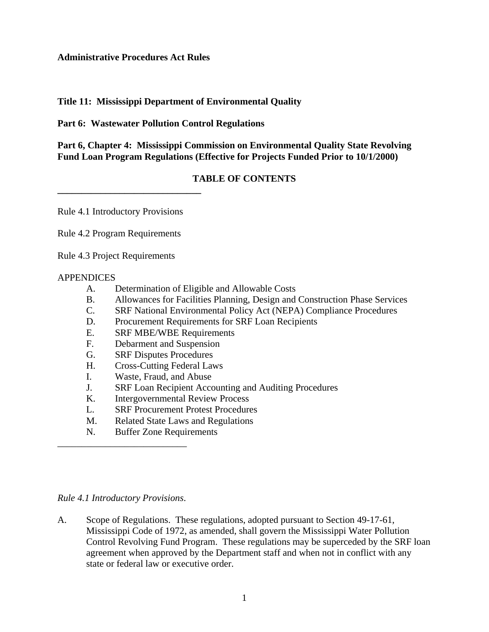#### **Administrative Procedures Act Rules**

#### **Title 11: Mississippi Department of Environmental Quality**

**Part 6: Wastewater Pollution Control Regulations**

**Part 6, Chapter 4: Mississippi Commission on Environmental Quality State Revolving Fund Loan Program Regulations (Effective for Projects Funded Prior to 10/1/2000)**

#### **TABLE OF CONTENTS**

Rule 4.1 Introductory Provisions

**\_\_\_\_\_\_\_\_\_\_\_\_\_\_\_\_\_\_\_\_\_\_\_\_\_\_\_\_\_\_**

Rule 4.2 Program Requirements

Rule 4.3 Project Requirements

#### APPENDICES

- A. Determination of Eligible and Allowable Costs
- B. Allowances for Facilities Planning, Design and Construction Phase Services
- C. SRF National Environmental Policy Act (NEPA) Compliance Procedures
- D. Procurement Requirements for SRF Loan Recipients
- E. SRF MBE/WBE Requirements
- F. Debarment and Suspension
- G. SRF Disputes Procedures
- H. Cross-Cutting Federal Laws
- I. Waste, Fraud, and Abuse
- J. SRF Loan Recipient Accounting and Auditing Procedures
- K. Intergovernmental Review Process
- L. SRF Procurement Protest Procedures
- M. Related State Laws and Regulations
- N. Buffer Zone Requirements

#### *Rule 4.1 Introductory Provisions*.

*\_\_\_\_\_\_\_\_\_\_\_\_\_\_\_\_\_\_\_\_\_\_\_\_\_\_\_*

A. Scope of Regulations. These regulations, adopted pursuant to Section 49-17-61, Mississippi Code of 1972, as amended, shall govern the Mississippi Water Pollution Control Revolving Fund Program. These regulations may be superceded by the SRF loan agreement when approved by the Department staff and when not in conflict with any state or federal law or executive order.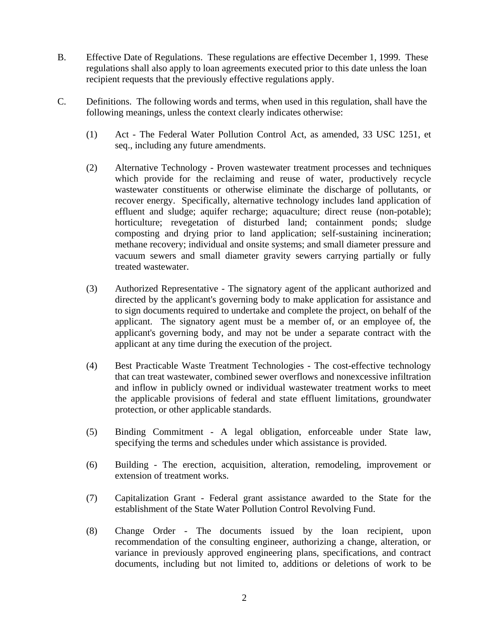- B. Effective Date of Regulations. These regulations are effective December 1, 1999. These regulations shall also apply to loan agreements executed prior to this date unless the loan recipient requests that the previously effective regulations apply.
- C. Definitions. The following words and terms, when used in this regulation, shall have the following meanings, unless the context clearly indicates otherwise:
	- (1) Act The Federal Water Pollution Control Act, as amended, 33 USC 1251, et seq., including any future amendments.
	- (2) Alternative Technology Proven wastewater treatment processes and techniques which provide for the reclaiming and reuse of water, productively recycle wastewater constituents or otherwise eliminate the discharge of pollutants, or recover energy. Specifically, alternative technology includes land application of effluent and sludge; aquifer recharge; aquaculture; direct reuse (non-potable); horticulture; revegetation of disturbed land; containment ponds; sludge composting and drying prior to land application; self-sustaining incineration; methane recovery; individual and onsite systems; and small diameter pressure and vacuum sewers and small diameter gravity sewers carrying partially or fully treated wastewater.
	- (3) Authorized Representative The signatory agent of the applicant authorized and directed by the applicant's governing body to make application for assistance and to sign documents required to undertake and complete the project, on behalf of the applicant. The signatory agent must be a member of, or an employee of, the applicant's governing body, and may not be under a separate contract with the applicant at any time during the execution of the project.
	- (4) Best Practicable Waste Treatment Technologies The cost-effective technology that can treat wastewater, combined sewer overflows and nonexcessive infiltration and inflow in publicly owned or individual wastewater treatment works to meet the applicable provisions of federal and state effluent limitations, groundwater protection, or other applicable standards.
	- (5) Binding Commitment A legal obligation, enforceable under State law, specifying the terms and schedules under which assistance is provided.
	- (6) Building The erection, acquisition, alteration, remodeling, improvement or extension of treatment works.
	- (7) Capitalization Grant Federal grant assistance awarded to the State for the establishment of the State Water Pollution Control Revolving Fund.
	- (8) Change Order The documents issued by the loan recipient, upon recommendation of the consulting engineer, authorizing a change, alteration, or variance in previously approved engineering plans, specifications, and contract documents, including but not limited to, additions or deletions of work to be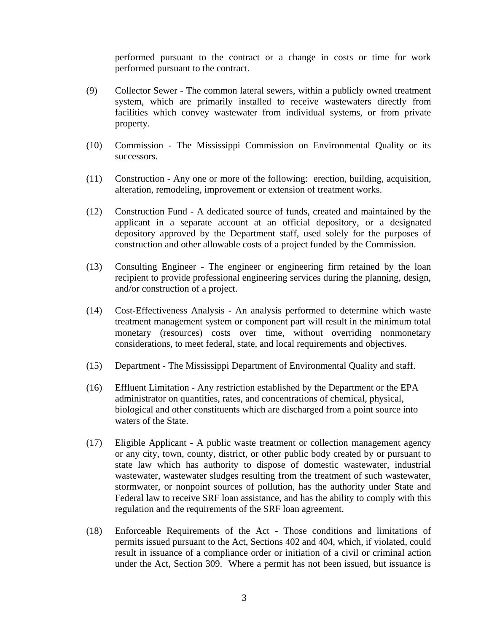performed pursuant to the contract or a change in costs or time for work performed pursuant to the contract.

- (9) Collector Sewer The common lateral sewers, within a publicly owned treatment system, which are primarily installed to receive wastewaters directly from facilities which convey wastewater from individual systems, or from private property.
- (10) Commission The Mississippi Commission on Environmental Quality or its successors.
- (11) Construction Any one or more of the following: erection, building, acquisition, alteration, remodeling, improvement or extension of treatment works.
- (12) Construction Fund A dedicated source of funds, created and maintained by the applicant in a separate account at an official depository, or a designated depository approved by the Department staff, used solely for the purposes of construction and other allowable costs of a project funded by the Commission.
- (13) Consulting Engineer The engineer or engineering firm retained by the loan recipient to provide professional engineering services during the planning, design, and/or construction of a project.
- (14) Cost-Effectiveness Analysis An analysis performed to determine which waste treatment management system or component part will result in the minimum total monetary (resources) costs over time, without overriding nonmonetary considerations, to meet federal, state, and local requirements and objectives.
- (15) Department The Mississippi Department of Environmental Quality and staff.
- (16) Effluent Limitation Any restriction established by the Department or the EPA administrator on quantities, rates, and concentrations of chemical, physical, biological and other constituents which are discharged from a point source into waters of the State.
- (17) Eligible Applicant A public waste treatment or collection management agency or any city, town, county, district, or other public body created by or pursuant to state law which has authority to dispose of domestic wastewater, industrial wastewater, wastewater sludges resulting from the treatment of such wastewater, stormwater, or nonpoint sources of pollution, has the authority under State and Federal law to receive SRF loan assistance, and has the ability to comply with this regulation and the requirements of the SRF loan agreement.
- (18) Enforceable Requirements of the Act Those conditions and limitations of permits issued pursuant to the Act, Sections 402 and 404, which, if violated, could result in issuance of a compliance order or initiation of a civil or criminal action under the Act, Section 309. Where a permit has not been issued, but issuance is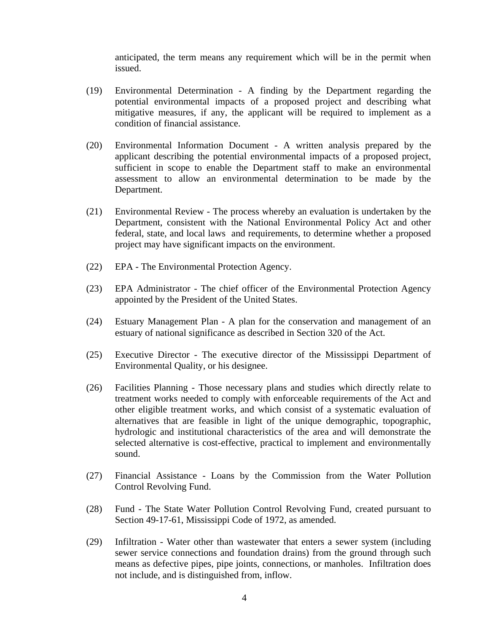anticipated, the term means any requirement which will be in the permit when issued.

- (19) Environmental Determination A finding by the Department regarding the potential environmental impacts of a proposed project and describing what mitigative measures, if any, the applicant will be required to implement as a condition of financial assistance.
- (20) Environmental Information Document A written analysis prepared by the applicant describing the potential environmental impacts of a proposed project, sufficient in scope to enable the Department staff to make an environmental assessment to allow an environmental determination to be made by the Department.
- (21) Environmental Review The process whereby an evaluation is undertaken by the Department, consistent with the National Environmental Policy Act and other federal, state, and local laws and requirements, to determine whether a proposed project may have significant impacts on the environment.
- (22) EPA The Environmental Protection Agency.
- (23) EPA Administrator The chief officer of the Environmental Protection Agency appointed by the President of the United States.
- (24) Estuary Management Plan A plan for the conservation and management of an estuary of national significance as described in Section 320 of the Act.
- (25) Executive Director The executive director of the Mississippi Department of Environmental Quality, or his designee.
- (26) Facilities Planning Those necessary plans and studies which directly relate to treatment works needed to comply with enforceable requirements of the Act and other eligible treatment works, and which consist of a systematic evaluation of alternatives that are feasible in light of the unique demographic, topographic, hydrologic and institutional characteristics of the area and will demonstrate the selected alternative is cost-effective, practical to implement and environmentally sound.
- (27) Financial Assistance Loans by the Commission from the Water Pollution Control Revolving Fund.
- (28) Fund The State Water Pollution Control Revolving Fund, created pursuant to Section 49-17-61, Mississippi Code of 1972, as amended.
- (29) Infiltration Water other than wastewater that enters a sewer system (including sewer service connections and foundation drains) from the ground through such means as defective pipes, pipe joints, connections, or manholes. Infiltration does not include, and is distinguished from, inflow.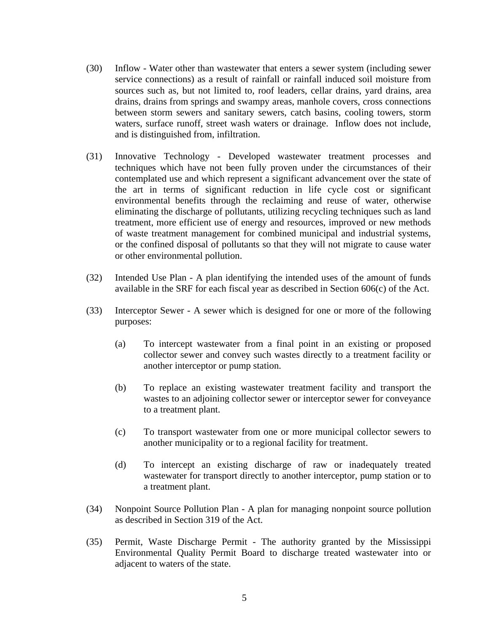- (30) Inflow Water other than wastewater that enters a sewer system (including sewer service connections) as a result of rainfall or rainfall induced soil moisture from sources such as, but not limited to, roof leaders, cellar drains, yard drains, area drains, drains from springs and swampy areas, manhole covers, cross connections between storm sewers and sanitary sewers, catch basins, cooling towers, storm waters, surface runoff, street wash waters or drainage. Inflow does not include, and is distinguished from, infiltration.
- (31) Innovative Technology Developed wastewater treatment processes and techniques which have not been fully proven under the circumstances of their contemplated use and which represent a significant advancement over the state of the art in terms of significant reduction in life cycle cost or significant environmental benefits through the reclaiming and reuse of water, otherwise eliminating the discharge of pollutants, utilizing recycling techniques such as land treatment, more efficient use of energy and resources, improved or new methods of waste treatment management for combined municipal and industrial systems, or the confined disposal of pollutants so that they will not migrate to cause water or other environmental pollution.
- (32) Intended Use Plan A plan identifying the intended uses of the amount of funds available in the SRF for each fiscal year as described in Section 606(c) of the Act.
- (33) Interceptor Sewer A sewer which is designed for one or more of the following purposes:
	- (a) To intercept wastewater from a final point in an existing or proposed collector sewer and convey such wastes directly to a treatment facility or another interceptor or pump station.
	- (b) To replace an existing wastewater treatment facility and transport the wastes to an adjoining collector sewer or interceptor sewer for conveyance to a treatment plant.
	- (c) To transport wastewater from one or more municipal collector sewers to another municipality or to a regional facility for treatment.
	- (d) To intercept an existing discharge of raw or inadequately treated wastewater for transport directly to another interceptor, pump station or to a treatment plant.
- (34) Nonpoint Source Pollution Plan A plan for managing nonpoint source pollution as described in Section 319 of the Act.
- (35) Permit, Waste Discharge Permit The authority granted by the Mississippi Environmental Quality Permit Board to discharge treated wastewater into or adjacent to waters of the state.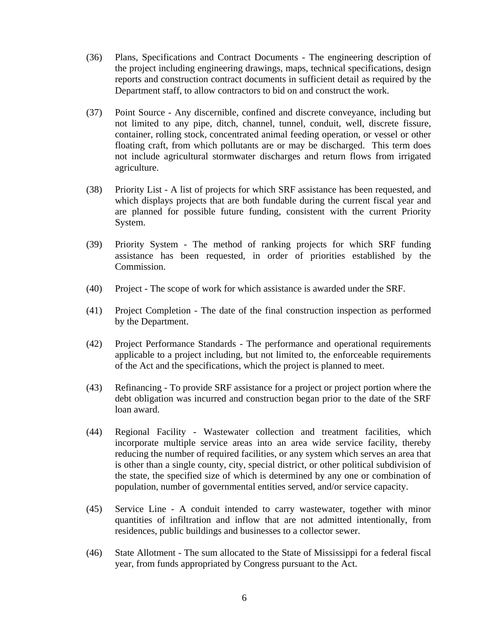- (36) Plans, Specifications and Contract Documents The engineering description of the project including engineering drawings, maps, technical specifications, design reports and construction contract documents in sufficient detail as required by the Department staff, to allow contractors to bid on and construct the work.
- (37) Point Source Any discernible, confined and discrete conveyance, including but not limited to any pipe, ditch, channel, tunnel, conduit, well, discrete fissure, container, rolling stock, concentrated animal feeding operation, or vessel or other floating craft, from which pollutants are or may be discharged. This term does not include agricultural stormwater discharges and return flows from irrigated agriculture.
- (38) Priority List A list of projects for which SRF assistance has been requested, and which displays projects that are both fundable during the current fiscal year and are planned for possible future funding, consistent with the current Priority System.
- (39) Priority System The method of ranking projects for which SRF funding assistance has been requested, in order of priorities established by the Commission.
- (40) Project The scope of work for which assistance is awarded under the SRF.
- (41) Project Completion The date of the final construction inspection as performed by the Department.
- (42) Project Performance Standards The performance and operational requirements applicable to a project including, but not limited to, the enforceable requirements of the Act and the specifications, which the project is planned to meet.
- (43) Refinancing To provide SRF assistance for a project or project portion where the debt obligation was incurred and construction began prior to the date of the SRF loan award.
- (44) Regional Facility Wastewater collection and treatment facilities, which incorporate multiple service areas into an area wide service facility, thereby reducing the number of required facilities, or any system which serves an area that is other than a single county, city, special district, or other political subdivision of the state, the specified size of which is determined by any one or combination of population, number of governmental entities served, and/or service capacity.
- (45) Service Line A conduit intended to carry wastewater, together with minor quantities of infiltration and inflow that are not admitted intentionally, from residences, public buildings and businesses to a collector sewer.
- (46) State Allotment The sum allocated to the State of Mississippi for a federal fiscal year, from funds appropriated by Congress pursuant to the Act.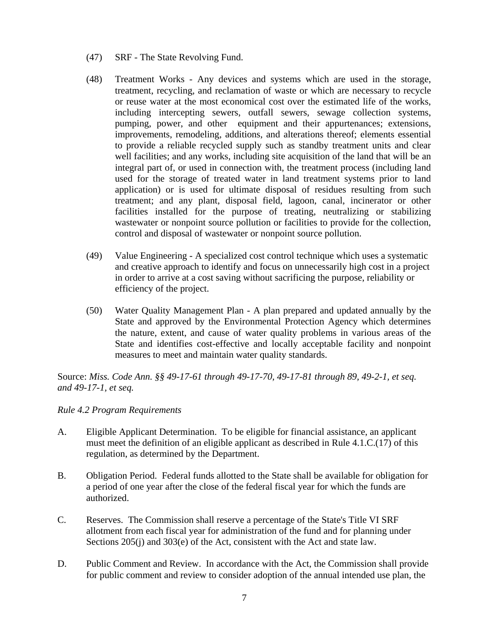- (47) SRF The State Revolving Fund.
- (48) Treatment Works Any devices and systems which are used in the storage, treatment, recycling, and reclamation of waste or which are necessary to recycle or reuse water at the most economical cost over the estimated life of the works, including intercepting sewers, outfall sewers, sewage collection systems, pumping, power, and other equipment and their appurtenances; extensions, improvements, remodeling, additions, and alterations thereof; elements essential to provide a reliable recycled supply such as standby treatment units and clear well facilities; and any works, including site acquisition of the land that will be an integral part of, or used in connection with, the treatment process (including land used for the storage of treated water in land treatment systems prior to land application) or is used for ultimate disposal of residues resulting from such treatment; and any plant, disposal field, lagoon, canal, incinerator or other facilities installed for the purpose of treating, neutralizing or stabilizing wastewater or nonpoint source pollution or facilities to provide for the collection, control and disposal of wastewater or nonpoint source pollution.
- (49) Value Engineering A specialized cost control technique which uses a systematic and creative approach to identify and focus on unnecessarily high cost in a project in order to arrive at a cost saving without sacrificing the purpose, reliability or efficiency of the project.
- (50) Water Quality Management Plan A plan prepared and updated annually by the State and approved by the Environmental Protection Agency which determines the nature, extent, and cause of water quality problems in various areas of the State and identifies cost-effective and locally acceptable facility and nonpoint measures to meet and maintain water quality standards.

Source: *Miss. Code Ann. §§ 49-17-61 through 49-17-70, 49-17-81 through 89, 49-2-1, et seq. and 49-17-1, et seq.*

## *Rule 4.2 Program Requirements*

- A. Eligible Applicant Determination. To be eligible for financial assistance, an applicant must meet the definition of an eligible applicant as described in Rule 4.1.C.(17) of this regulation, as determined by the Department.
- B. Obligation Period. Federal funds allotted to the State shall be available for obligation for a period of one year after the close of the federal fiscal year for which the funds are authorized.
- C. Reserves. The Commission shall reserve a percentage of the State's Title VI SRF allotment from each fiscal year for administration of the fund and for planning under Sections 205(j) and 303(e) of the Act, consistent with the Act and state law.
- D. Public Comment and Review. In accordance with the Act, the Commission shall provide for public comment and review to consider adoption of the annual intended use plan, the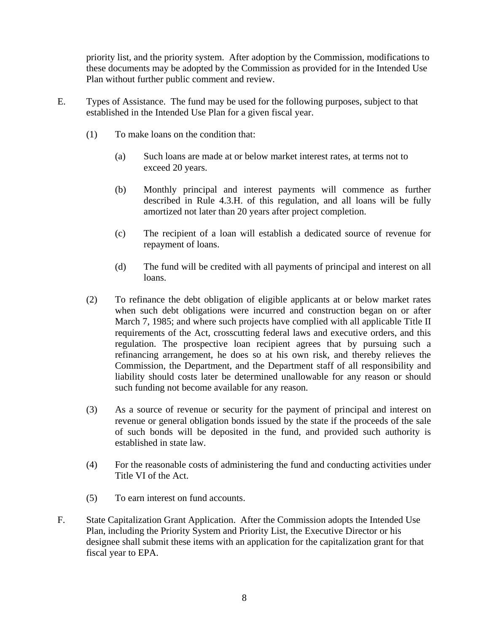priority list, and the priority system. After adoption by the Commission, modifications to these documents may be adopted by the Commission as provided for in the Intended Use Plan without further public comment and review.

- E. Types of Assistance. The fund may be used for the following purposes, subject to that established in the Intended Use Plan for a given fiscal year.
	- (1) To make loans on the condition that:
		- (a) Such loans are made at or below market interest rates, at terms not to exceed 20 years.
		- (b) Monthly principal and interest payments will commence as further described in Rule 4.3.H. of this regulation, and all loans will be fully amortized not later than 20 years after project completion.
		- (c) The recipient of a loan will establish a dedicated source of revenue for repayment of loans.
		- (d) The fund will be credited with all payments of principal and interest on all loans.
	- (2) To refinance the debt obligation of eligible applicants at or below market rates when such debt obligations were incurred and construction began on or after March 7, 1985; and where such projects have complied with all applicable Title II requirements of the Act, crosscutting federal laws and executive orders, and this regulation. The prospective loan recipient agrees that by pursuing such a refinancing arrangement, he does so at his own risk, and thereby relieves the Commission, the Department, and the Department staff of all responsibility and liability should costs later be determined unallowable for any reason or should such funding not become available for any reason.
	- (3) As a source of revenue or security for the payment of principal and interest on revenue or general obligation bonds issued by the state if the proceeds of the sale of such bonds will be deposited in the fund, and provided such authority is established in state law.
	- (4) For the reasonable costs of administering the fund and conducting activities under Title VI of the Act.
	- (5) To earn interest on fund accounts.
- F. State Capitalization Grant Application. After the Commission adopts the Intended Use Plan, including the Priority System and Priority List, the Executive Director or his designee shall submit these items with an application for the capitalization grant for that fiscal year to EPA.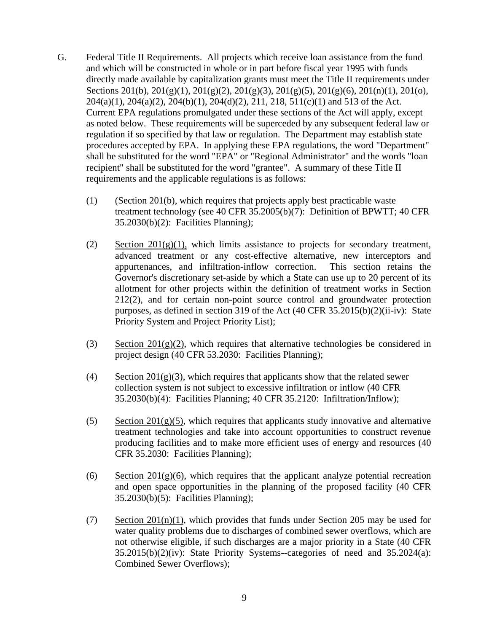- G. Federal Title II Requirements. All projects which receive loan assistance from the fund and which will be constructed in whole or in part before fiscal year 1995 with funds directly made available by capitalization grants must meet the Title II requirements under Sections 201(b), 201(g)(1), 201(g)(2), 201(g)(3), 201(g)(5), 201(g)(6), 201(n)(1), 201(o), 204(a)(1), 204(a)(2), 204(b)(1), 204(d)(2), 211, 218, 511(c)(1) and 513 of the Act. Current EPA regulations promulgated under these sections of the Act will apply, except as noted below. These requirements will be superceded by any subsequent federal law or regulation if so specified by that law or regulation. The Department may establish state procedures accepted by EPA. In applying these EPA regulations, the word "Department" shall be substituted for the word "EPA" or "Regional Administrator" and the words "loan recipient" shall be substituted for the word "grantee". A summary of these Title II requirements and the applicable regulations is as follows:
	- (1) (Section 201(b), which requires that projects apply best practicable waste treatment technology (see 40 CFR 35.2005(b)(7): Definition of BPWTT; 40 CFR 35.2030(b)(2): Facilities Planning);
	- (2) Section  $201(g)(1)$ , which limits assistance to projects for secondary treatment, advanced treatment or any cost-effective alternative, new interceptors and appurtenances, and infiltration-inflow correction. This section retains the Governor's discretionary set-aside by which a State can use up to 20 percent of its allotment for other projects within the definition of treatment works in Section 212(2), and for certain non-point source control and groundwater protection purposes, as defined in section 319 of the Act (40 CFR 35.2015(b)(2)(ii-iv): State Priority System and Project Priority List);
	- (3) Section 201(g)(2), which requires that alternative technologies be considered in project design (40 CFR 53.2030: Facilities Planning);
	- (4) Section  $201(g)(3)$ , which requires that applicants show that the related sewer collection system is not subject to excessive infiltration or inflow (40 CFR 35.2030(b)(4): Facilities Planning; 40 CFR 35.2120: Infiltration/Inflow);
	- (5) Section  $201(g)(5)$ , which requires that applicants study innovative and alternative treatment technologies and take into account opportunities to construct revenue producing facilities and to make more efficient uses of energy and resources (40 CFR 35.2030: Facilities Planning);
	- (6) Section  $201(g)(6)$ , which requires that the applicant analyze potential recreation and open space opportunities in the planning of the proposed facility (40 CFR 35.2030(b)(5): Facilities Planning);
	- (7) Section  $201(n)(1)$ , which provides that funds under Section 205 may be used for water quality problems due to discharges of combined sewer overflows, which are not otherwise eligible, if such discharges are a major priority in a State (40 CFR 35.2015(b)(2)(iv): State Priority Systems--categories of need and 35.2024(a): Combined Sewer Overflows);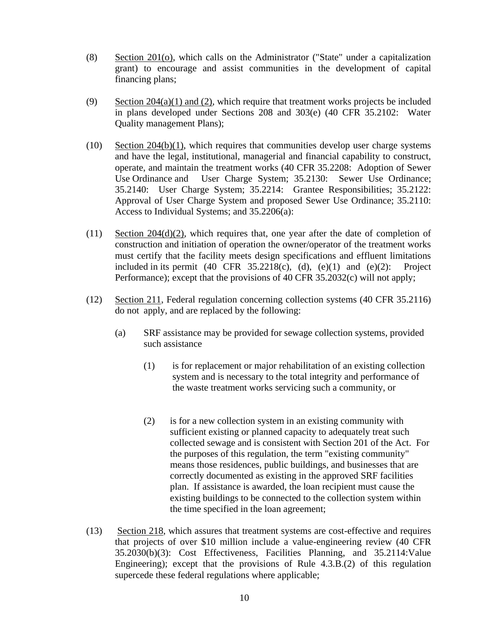- (8) Section 201(o), which calls on the Administrator ("State" under a capitalization grant) to encourage and assist communities in the development of capital financing plans;
- (9) Section 204(a)(1) and (2), which require that treatment works projects be included in plans developed under Sections 208 and 303(e) (40 CFR 35.2102: Water Quality management Plans);
- (10) Section 204(b)(1), which requires that communities develop user charge systems and have the legal, institutional, managerial and financial capability to construct, operate, and maintain the treatment works (40 CFR 35.2208: Adoption of Sewer Use Ordinance and User Charge System; 35.2130: Sewer Use Ordinance; 35.2140: User Charge System; 35.2214: Grantee Responsibilities; 35.2122: Approval of User Charge System and proposed Sewer Use Ordinance; 35.2110: Access to Individual Systems; and 35.2206(a):
- (11) Section 204(d)(2), which requires that, one year after the date of completion of construction and initiation of operation the owner/operator of the treatment works must certify that the facility meets design specifications and effluent limitations included in its permit  $(40 \text{ CFR } 35.2218(c), (d), (e)(1)$  and  $(e)(2)$ : Project Performance); except that the provisions of 40 CFR 35.2032(c) will not apply;
- (12) Section 211, Federal regulation concerning collection systems (40 CFR 35.2116) do not apply, and are replaced by the following:
	- (a) SRF assistance may be provided for sewage collection systems, provided such assistance
		- (1) is for replacement or major rehabilitation of an existing collection system and is necessary to the total integrity and performance of the waste treatment works servicing such a community, or
		- (2) is for a new collection system in an existing community with sufficient existing or planned capacity to adequately treat such collected sewage and is consistent with Section 201 of the Act. For the purposes of this regulation, the term "existing community" means those residences, public buildings, and businesses that are correctly documented as existing in the approved SRF facilities plan. If assistance is awarded, the loan recipient must cause the existing buildings to be connected to the collection system within the time specified in the loan agreement;
- (13) Section 218, which assures that treatment systems are cost-effective and requires that projects of over \$10 million include a value-engineering review (40 CFR 35.2030(b)(3): Cost Effectiveness, Facilities Planning, and 35.2114:Value Engineering); except that the provisions of Rule 4.3.B.(2) of this regulation supercede these federal regulations where applicable;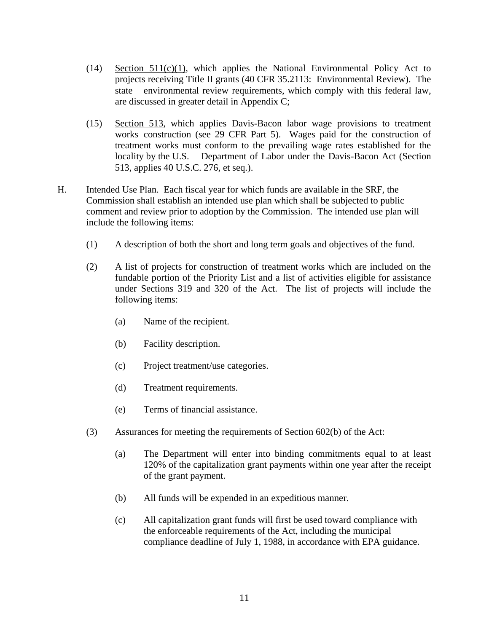- $(14)$  Section  $511(c)(1)$ , which applies the National Environmental Policy Act to projects receiving Title II grants (40 CFR 35.2113: Environmental Review). The state environmental review requirements, which comply with this federal law, are discussed in greater detail in Appendix C;
- (15) Section 513, which applies Davis-Bacon labor wage provisions to treatment works construction (see 29 CFR Part 5). Wages paid for the construction of treatment works must conform to the prevailing wage rates established for the locality by the U.S. Department of Labor under the Davis-Bacon Act (Section 513, applies 40 U.S.C. 276, et seq.).
- H. Intended Use Plan. Each fiscal year for which funds are available in the SRF, the Commission shall establish an intended use plan which shall be subjected to public comment and review prior to adoption by the Commission. The intended use plan will include the following items:
	- (1) A description of both the short and long term goals and objectives of the fund.
	- (2) A list of projects for construction of treatment works which are included on the fundable portion of the Priority List and a list of activities eligible for assistance under Sections 319 and 320 of the Act. The list of projects will include the following items:
		- (a) Name of the recipient.
		- (b) Facility description.
		- (c) Project treatment/use categories.
		- (d) Treatment requirements.
		- (e) Terms of financial assistance.
	- (3) Assurances for meeting the requirements of Section 602(b) of the Act:
		- (a) The Department will enter into binding commitments equal to at least 120% of the capitalization grant payments within one year after the receipt of the grant payment.
		- (b) All funds will be expended in an expeditious manner.
		- (c) All capitalization grant funds will first be used toward compliance with the enforceable requirements of the Act, including the municipal compliance deadline of July 1, 1988, in accordance with EPA guidance.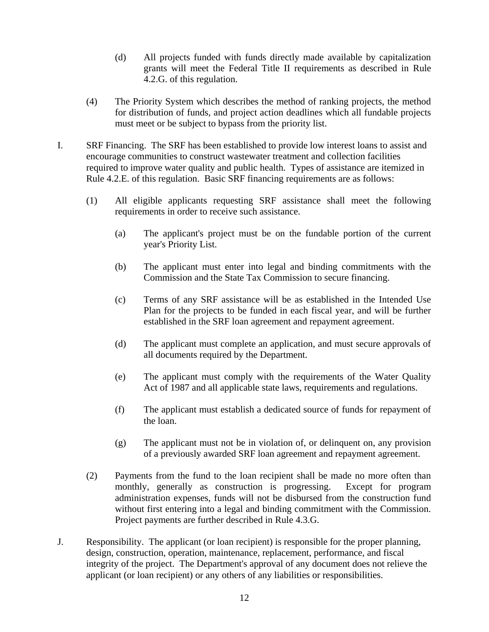- (d) All projects funded with funds directly made available by capitalization grants will meet the Federal Title II requirements as described in Rule 4.2.G. of this regulation.
- (4) The Priority System which describes the method of ranking projects, the method for distribution of funds, and project action deadlines which all fundable projects must meet or be subject to bypass from the priority list.
- I. SRF Financing. The SRF has been established to provide low interest loans to assist and encourage communities to construct wastewater treatment and collection facilities required to improve water quality and public health. Types of assistance are itemized in Rule 4.2.E. of this regulation. Basic SRF financing requirements are as follows:
	- (1) All eligible applicants requesting SRF assistance shall meet the following requirements in order to receive such assistance.
		- (a) The applicant's project must be on the fundable portion of the current year's Priority List.
		- (b) The applicant must enter into legal and binding commitments with the Commission and the State Tax Commission to secure financing.
		- (c) Terms of any SRF assistance will be as established in the Intended Use Plan for the projects to be funded in each fiscal year, and will be further established in the SRF loan agreement and repayment agreement.
		- (d) The applicant must complete an application, and must secure approvals of all documents required by the Department.
		- (e) The applicant must comply with the requirements of the Water Quality Act of 1987 and all applicable state laws, requirements and regulations.
		- (f) The applicant must establish a dedicated source of funds for repayment of the loan.
		- (g) The applicant must not be in violation of, or delinquent on, any provision of a previously awarded SRF loan agreement and repayment agreement.
	- (2) Payments from the fund to the loan recipient shall be made no more often than monthly, generally as construction is progressing. Except for program administration expenses, funds will not be disbursed from the construction fund without first entering into a legal and binding commitment with the Commission. Project payments are further described in Rule 4.3.G.
- J. Responsibility. The applicant (or loan recipient) is responsible for the proper planning, design, construction, operation, maintenance, replacement, performance, and fiscal integrity of the project. The Department's approval of any document does not relieve the applicant (or loan recipient) or any others of any liabilities or responsibilities.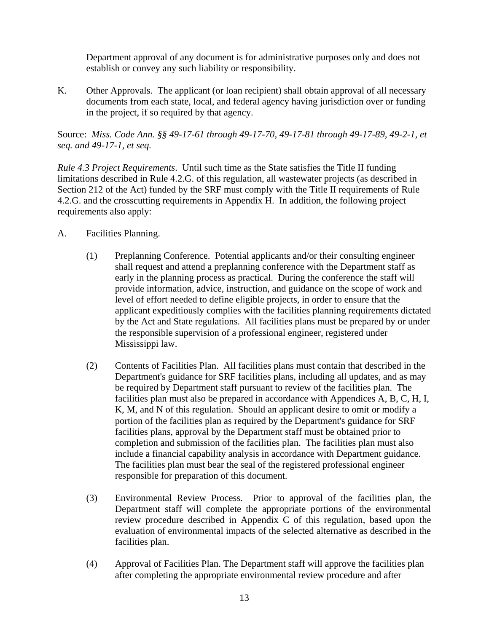Department approval of any document is for administrative purposes only and does not establish or convey any such liability or responsibility.

K. Other Approvals. The applicant (or loan recipient) shall obtain approval of all necessary documents from each state, local, and federal agency having jurisdiction over or funding in the project, if so required by that agency.

Source: *Miss. Code Ann. §§ 49-17-61 through 49-17-70, 49-17-81 through 49-17-89, 49-2-1, et seq. and 49-17-1, et seq.*

*Rule 4.3 Project Requirements*. Until such time as the State satisfies the Title II funding limitations described in Rule 4.2.G. of this regulation, all wastewater projects (as described in Section 212 of the Act) funded by the SRF must comply with the Title II requirements of Rule 4.2.G. and the crosscutting requirements in Appendix H. In addition, the following project requirements also apply:

- A. Facilities Planning.
	- (1) Preplanning Conference. Potential applicants and/or their consulting engineer shall request and attend a preplanning conference with the Department staff as early in the planning process as practical. During the conference the staff will provide information, advice, instruction, and guidance on the scope of work and level of effort needed to define eligible projects, in order to ensure that the applicant expeditiously complies with the facilities planning requirements dictated by the Act and State regulations. All facilities plans must be prepared by or under the responsible supervision of a professional engineer, registered under Mississippi law.
	- (2) Contents of Facilities Plan. All facilities plans must contain that described in the Department's guidance for SRF facilities plans, including all updates, and as may be required by Department staff pursuant to review of the facilities plan. The facilities plan must also be prepared in accordance with Appendices A, B, C, H, I, K, M, and N of this regulation. Should an applicant desire to omit or modify a portion of the facilities plan as required by the Department's guidance for SRF facilities plans, approval by the Department staff must be obtained prior to completion and submission of the facilities plan. The facilities plan must also include a financial capability analysis in accordance with Department guidance. The facilities plan must bear the seal of the registered professional engineer responsible for preparation of this document.
	- (3) Environmental Review Process. Prior to approval of the facilities plan, the Department staff will complete the appropriate portions of the environmental review procedure described in Appendix C of this regulation, based upon the evaluation of environmental impacts of the selected alternative as described in the facilities plan.
	- (4) Approval of Facilities Plan. The Department staff will approve the facilities plan after completing the appropriate environmental review procedure and after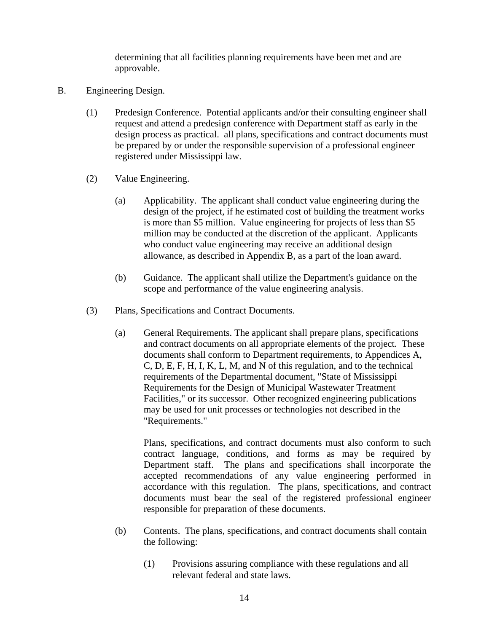determining that all facilities planning requirements have been met and are approvable.

- B. Engineering Design.
	- (1) Predesign Conference. Potential applicants and/or their consulting engineer shall request and attend a predesign conference with Department staff as early in the design process as practical. all plans, specifications and contract documents must be prepared by or under the responsible supervision of a professional engineer registered under Mississippi law.
	- (2) Value Engineering.
		- (a) Applicability. The applicant shall conduct value engineering during the design of the project, if he estimated cost of building the treatment works is more than \$5 million. Value engineering for projects of less than \$5 million may be conducted at the discretion of the applicant. Applicants who conduct value engineering may receive an additional design allowance, as described in Appendix B, as a part of the loan award.
		- (b) Guidance. The applicant shall utilize the Department's guidance on the scope and performance of the value engineering analysis.
	- (3) Plans, Specifications and Contract Documents.
		- (a) General Requirements. The applicant shall prepare plans, specifications and contract documents on all appropriate elements of the project. These documents shall conform to Department requirements, to Appendices A, C, D, E, F, H, I, K, L, M, and N of this regulation, and to the technical requirements of the Departmental document, "State of Mississippi Requirements for the Design of Municipal Wastewater Treatment Facilities," or its successor. Other recognized engineering publications may be used for unit processes or technologies not described in the "Requirements."

Plans, specifications, and contract documents must also conform to such contract language, conditions, and forms as may be required by Department staff. The plans and specifications shall incorporate the accepted recommendations of any value engineering performed in accordance with this regulation. The plans, specifications, and contract documents must bear the seal of the registered professional engineer responsible for preparation of these documents.

- (b) Contents. The plans, specifications, and contract documents shall contain the following:
	- (1) Provisions assuring compliance with these regulations and all relevant federal and state laws.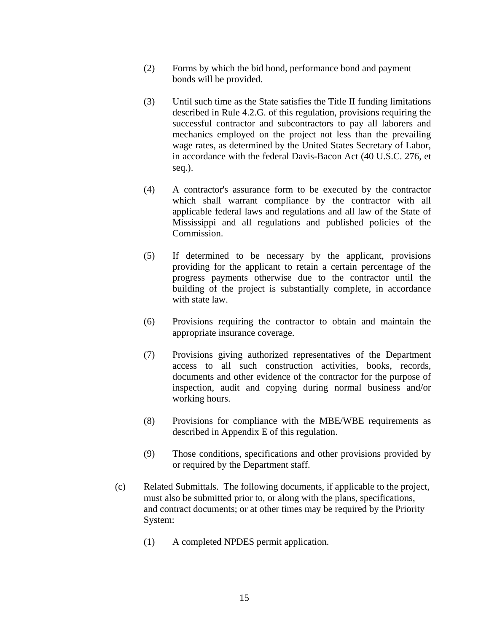- (2) Forms by which the bid bond, performance bond and payment bonds will be provided.
- (3) Until such time as the State satisfies the Title II funding limitations described in Rule 4.2.G. of this regulation, provisions requiring the successful contractor and subcontractors to pay all laborers and mechanics employed on the project not less than the prevailing wage rates, as determined by the United States Secretary of Labor, in accordance with the federal Davis-Bacon Act (40 U.S.C. 276, et seq.).
- (4) A contractor's assurance form to be executed by the contractor which shall warrant compliance by the contractor with all applicable federal laws and regulations and all law of the State of Mississippi and all regulations and published policies of the Commission.
- (5) If determined to be necessary by the applicant, provisions providing for the applicant to retain a certain percentage of the progress payments otherwise due to the contractor until the building of the project is substantially complete, in accordance with state law.
- (6) Provisions requiring the contractor to obtain and maintain the appropriate insurance coverage.
- (7) Provisions giving authorized representatives of the Department access to all such construction activities, books, records, documents and other evidence of the contractor for the purpose of inspection, audit and copying during normal business and/or working hours.
- (8) Provisions for compliance with the MBE/WBE requirements as described in Appendix E of this regulation.
- (9) Those conditions, specifications and other provisions provided by or required by the Department staff.
- (c) Related Submittals. The following documents, if applicable to the project, must also be submitted prior to, or along with the plans, specifications, and contract documents; or at other times may be required by the Priority System:
	- (1) A completed NPDES permit application.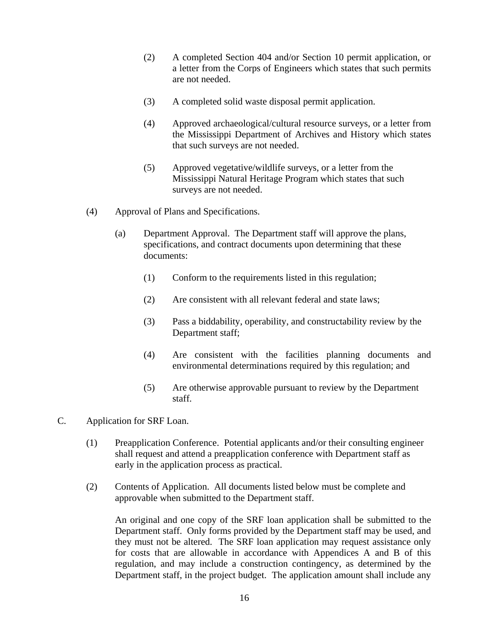- (2) A completed Section 404 and/or Section 10 permit application, or a letter from the Corps of Engineers which states that such permits are not needed.
- (3) A completed solid waste disposal permit application.
- (4) Approved archaeological/cultural resource surveys, or a letter from the Mississippi Department of Archives and History which states that such surveys are not needed.
- (5) Approved vegetative/wildlife surveys, or a letter from the Mississippi Natural Heritage Program which states that such surveys are not needed.
- (4) Approval of Plans and Specifications.
	- (a) Department Approval. The Department staff will approve the plans, specifications, and contract documents upon determining that these documents:
		- (1) Conform to the requirements listed in this regulation;
		- (2) Are consistent with all relevant federal and state laws;
		- (3) Pass a biddability, operability, and constructability review by the Department staff;
		- (4) Are consistent with the facilities planning documents and environmental determinations required by this regulation; and
		- (5) Are otherwise approvable pursuant to review by the Department staff.
- C. Application for SRF Loan.
	- (1) Preapplication Conference. Potential applicants and/or their consulting engineer shall request and attend a preapplication conference with Department staff as early in the application process as practical.
	- (2) Contents of Application. All documents listed below must be complete and approvable when submitted to the Department staff.

An original and one copy of the SRF loan application shall be submitted to the Department staff. Only forms provided by the Department staff may be used, and they must not be altered. The SRF loan application may request assistance only for costs that are allowable in accordance with Appendices A and B of this regulation, and may include a construction contingency, as determined by the Department staff, in the project budget. The application amount shall include any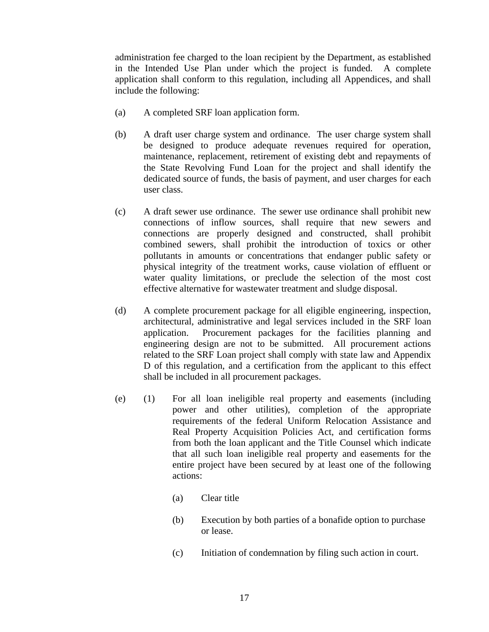administration fee charged to the loan recipient by the Department, as established in the Intended Use Plan under which the project is funded. A complete application shall conform to this regulation, including all Appendices, and shall include the following:

- (a) A completed SRF loan application form.
- (b) A draft user charge system and ordinance. The user charge system shall be designed to produce adequate revenues required for operation, maintenance, replacement, retirement of existing debt and repayments of the State Revolving Fund Loan for the project and shall identify the dedicated source of funds, the basis of payment, and user charges for each user class.
- (c) A draft sewer use ordinance. The sewer use ordinance shall prohibit new connections of inflow sources, shall require that new sewers and connections are properly designed and constructed, shall prohibit combined sewers, shall prohibit the introduction of toxics or other pollutants in amounts or concentrations that endanger public safety or physical integrity of the treatment works, cause violation of effluent or water quality limitations, or preclude the selection of the most cost effective alternative for wastewater treatment and sludge disposal.
- (d) A complete procurement package for all eligible engineering, inspection, architectural, administrative and legal services included in the SRF loan application. Procurement packages for the facilities planning and engineering design are not to be submitted. All procurement actions related to the SRF Loan project shall comply with state law and Appendix D of this regulation, and a certification from the applicant to this effect shall be included in all procurement packages.
- (e) (1) For all loan ineligible real property and easements (including power and other utilities), completion of the appropriate requirements of the federal Uniform Relocation Assistance and Real Property Acquisition Policies Act, and certification forms from both the loan applicant and the Title Counsel which indicate that all such loan ineligible real property and easements for the entire project have been secured by at least one of the following actions:
	- (a) Clear title
	- (b) Execution by both parties of a bonafide option to purchase or lease.
	- (c) Initiation of condemnation by filing such action in court.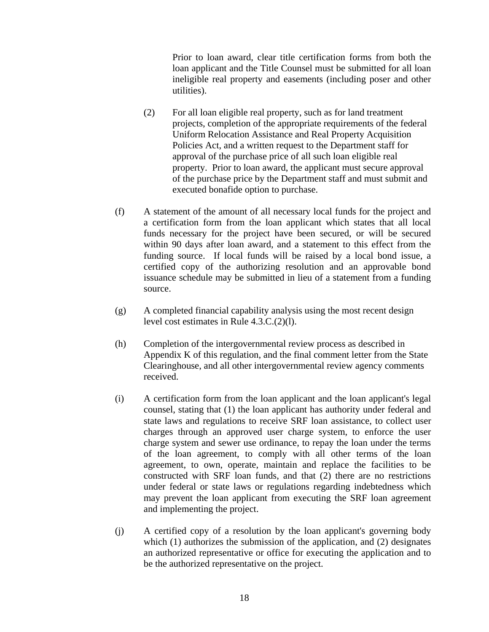Prior to loan award, clear title certification forms from both the loan applicant and the Title Counsel must be submitted for all loan ineligible real property and easements (including poser and other utilities).

- (2) For all loan eligible real property, such as for land treatment projects, completion of the appropriate requirements of the federal Uniform Relocation Assistance and Real Property Acquisition Policies Act, and a written request to the Department staff for approval of the purchase price of all such loan eligible real property. Prior to loan award, the applicant must secure approval of the purchase price by the Department staff and must submit and executed bonafide option to purchase.
- (f) A statement of the amount of all necessary local funds for the project and a certification form from the loan applicant which states that all local funds necessary for the project have been secured, or will be secured within 90 days after loan award, and a statement to this effect from the funding source. If local funds will be raised by a local bond issue, a certified copy of the authorizing resolution and an approvable bond issuance schedule may be submitted in lieu of a statement from a funding source.
- (g) A completed financial capability analysis using the most recent design level cost estimates in Rule 4.3.C.(2)(l).
- (h) Completion of the intergovernmental review process as described in Appendix K of this regulation, and the final comment letter from the State Clearinghouse, and all other intergovernmental review agency comments received.
- (i) A certification form from the loan applicant and the loan applicant's legal counsel, stating that (1) the loan applicant has authority under federal and state laws and regulations to receive SRF loan assistance, to collect user charges through an approved user charge system, to enforce the user charge system and sewer use ordinance, to repay the loan under the terms of the loan agreement, to comply with all other terms of the loan agreement, to own, operate, maintain and replace the facilities to be constructed with SRF loan funds, and that (2) there are no restrictions under federal or state laws or regulations regarding indebtedness which may prevent the loan applicant from executing the SRF loan agreement and implementing the project.
- (j) A certified copy of a resolution by the loan applicant's governing body which (1) authorizes the submission of the application, and (2) designates an authorized representative or office for executing the application and to be the authorized representative on the project.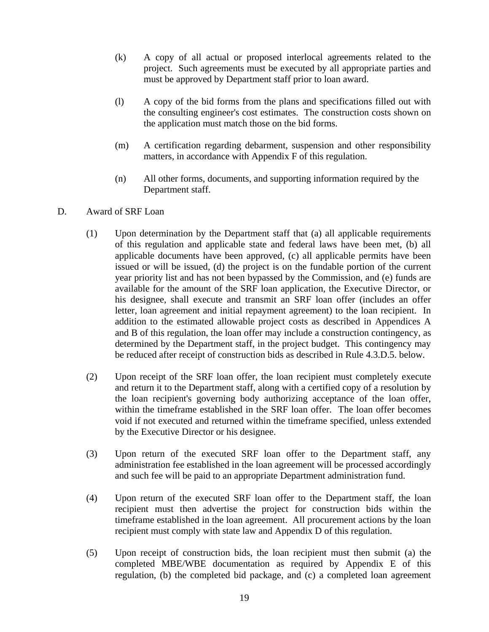- (k) A copy of all actual or proposed interlocal agreements related to the project. Such agreements must be executed by all appropriate parties and must be approved by Department staff prior to loan award.
- (l) A copy of the bid forms from the plans and specifications filled out with the consulting engineer's cost estimates. The construction costs shown on the application must match those on the bid forms.
- (m) A certification regarding debarment, suspension and other responsibility matters, in accordance with Appendix F of this regulation.
- (n) All other forms, documents, and supporting information required by the Department staff.

## D. Award of SRF Loan

- (1) Upon determination by the Department staff that (a) all applicable requirements of this regulation and applicable state and federal laws have been met, (b) all applicable documents have been approved, (c) all applicable permits have been issued or will be issued, (d) the project is on the fundable portion of the current year priority list and has not been bypassed by the Commission, and (e) funds are available for the amount of the SRF loan application, the Executive Director, or his designee, shall execute and transmit an SRF loan offer (includes an offer letter, loan agreement and initial repayment agreement) to the loan recipient. In addition to the estimated allowable project costs as described in Appendices A and B of this regulation, the loan offer may include a construction contingency, as determined by the Department staff, in the project budget. This contingency may be reduced after receipt of construction bids as described in Rule 4.3.D.5. below.
- (2) Upon receipt of the SRF loan offer, the loan recipient must completely execute and return it to the Department staff, along with a certified copy of a resolution by the loan recipient's governing body authorizing acceptance of the loan offer, within the timeframe established in the SRF loan offer. The loan offer becomes void if not executed and returned within the timeframe specified, unless extended by the Executive Director or his designee.
- (3) Upon return of the executed SRF loan offer to the Department staff, any administration fee established in the loan agreement will be processed accordingly and such fee will be paid to an appropriate Department administration fund.
- (4) Upon return of the executed SRF loan offer to the Department staff, the loan recipient must then advertise the project for construction bids within the timeframe established in the loan agreement. All procurement actions by the loan recipient must comply with state law and Appendix D of this regulation.
- (5) Upon receipt of construction bids, the loan recipient must then submit (a) the completed MBE/WBE documentation as required by Appendix E of this regulation, (b) the completed bid package, and (c) a completed loan agreement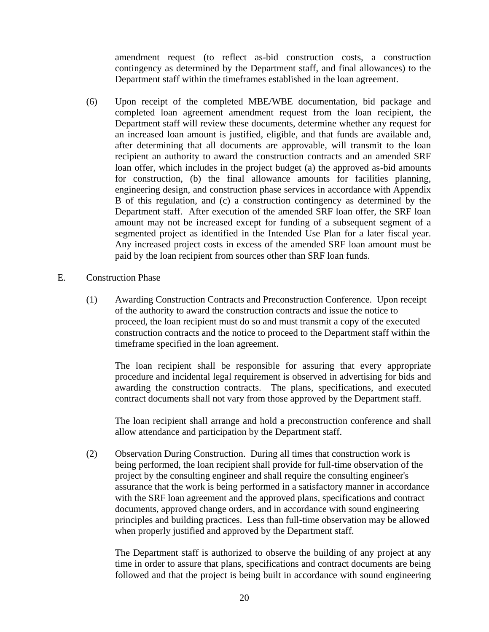amendment request (to reflect as-bid construction costs, a construction contingency as determined by the Department staff, and final allowances) to the Department staff within the timeframes established in the loan agreement.

- (6) Upon receipt of the completed MBE/WBE documentation, bid package and completed loan agreement amendment request from the loan recipient, the Department staff will review these documents, determine whether any request for an increased loan amount is justified, eligible, and that funds are available and, after determining that all documents are approvable, will transmit to the loan recipient an authority to award the construction contracts and an amended SRF loan offer, which includes in the project budget (a) the approved as-bid amounts for construction, (b) the final allowance amounts for facilities planning, engineering design, and construction phase services in accordance with Appendix B of this regulation, and (c) a construction contingency as determined by the Department staff. After execution of the amended SRF loan offer, the SRF loan amount may not be increased except for funding of a subsequent segment of a segmented project as identified in the Intended Use Plan for a later fiscal year. Any increased project costs in excess of the amended SRF loan amount must be paid by the loan recipient from sources other than SRF loan funds.
- E. Construction Phase
	- (1) Awarding Construction Contracts and Preconstruction Conference. Upon receipt of the authority to award the construction contracts and issue the notice to proceed, the loan recipient must do so and must transmit a copy of the executed construction contracts and the notice to proceed to the Department staff within the timeframe specified in the loan agreement.

The loan recipient shall be responsible for assuring that every appropriate procedure and incidental legal requirement is observed in advertising for bids and awarding the construction contracts. The plans, specifications, and executed contract documents shall not vary from those approved by the Department staff.

The loan recipient shall arrange and hold a preconstruction conference and shall allow attendance and participation by the Department staff.

(2) Observation During Construction. During all times that construction work is being performed, the loan recipient shall provide for full-time observation of the project by the consulting engineer and shall require the consulting engineer's assurance that the work is being performed in a satisfactory manner in accordance with the SRF loan agreement and the approved plans, specifications and contract documents, approved change orders, and in accordance with sound engineering principles and building practices. Less than full-time observation may be allowed when properly justified and approved by the Department staff.

The Department staff is authorized to observe the building of any project at any time in order to assure that plans, specifications and contract documents are being followed and that the project is being built in accordance with sound engineering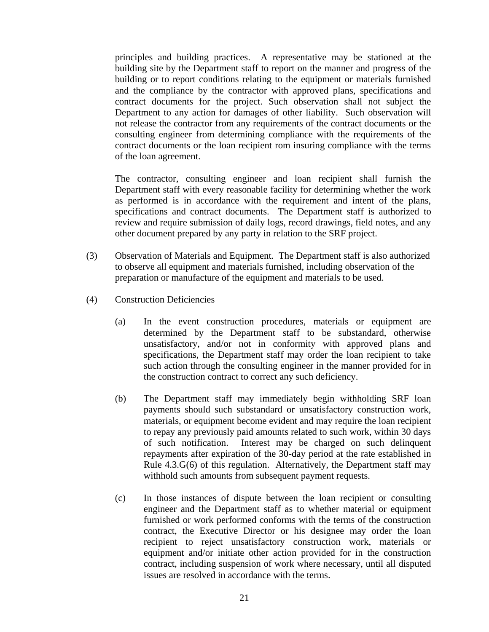principles and building practices. A representative may be stationed at the building site by the Department staff to report on the manner and progress of the building or to report conditions relating to the equipment or materials furnished and the compliance by the contractor with approved plans, specifications and contract documents for the project. Such observation shall not subject the Department to any action for damages of other liability. Such observation will not release the contractor from any requirements of the contract documents or the consulting engineer from determining compliance with the requirements of the contract documents or the loan recipient rom insuring compliance with the terms of the loan agreement.

The contractor, consulting engineer and loan recipient shall furnish the Department staff with every reasonable facility for determining whether the work as performed is in accordance with the requirement and intent of the plans, specifications and contract documents. The Department staff is authorized to review and require submission of daily logs, record drawings, field notes, and any other document prepared by any party in relation to the SRF project.

- (3) Observation of Materials and Equipment. The Department staff is also authorized to observe all equipment and materials furnished, including observation of the preparation or manufacture of the equipment and materials to be used.
- (4) Construction Deficiencies
	- (a) In the event construction procedures, materials or equipment are determined by the Department staff to be substandard, otherwise unsatisfactory, and/or not in conformity with approved plans and specifications, the Department staff may order the loan recipient to take such action through the consulting engineer in the manner provided for in the construction contract to correct any such deficiency.
	- (b) The Department staff may immediately begin withholding SRF loan payments should such substandard or unsatisfactory construction work, materials, or equipment become evident and may require the loan recipient to repay any previously paid amounts related to such work, within 30 days of such notification. Interest may be charged on such delinquent repayments after expiration of the 30-day period at the rate established in Rule 4.3.G(6) of this regulation. Alternatively, the Department staff may withhold such amounts from subsequent payment requests.
	- (c) In those instances of dispute between the loan recipient or consulting engineer and the Department staff as to whether material or equipment furnished or work performed conforms with the terms of the construction contract, the Executive Director or his designee may order the loan recipient to reject unsatisfactory construction work, materials or equipment and/or initiate other action provided for in the construction contract, including suspension of work where necessary, until all disputed issues are resolved in accordance with the terms.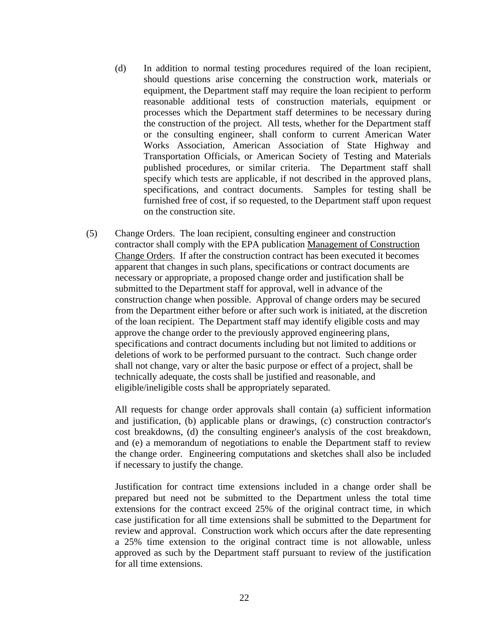- (d) In addition to normal testing procedures required of the loan recipient, should questions arise concerning the construction work, materials or equipment, the Department staff may require the loan recipient to perform reasonable additional tests of construction materials, equipment or processes which the Department staff determines to be necessary during the construction of the project. All tests, whether for the Department staff or the consulting engineer, shall conform to current American Water Works Association, American Association of State Highway and Transportation Officials, or American Society of Testing and Materials published procedures, or similar criteria. The Department staff shall specify which tests are applicable, if not described in the approved plans, specifications, and contract documents. Samples for testing shall be furnished free of cost, if so requested, to the Department staff upon request on the construction site.
- (5) Change Orders. The loan recipient, consulting engineer and construction contractor shall comply with the EPA publication Management of Construction Change Orders. If after the construction contract has been executed it becomes apparent that changes in such plans, specifications or contract documents are necessary or appropriate, a proposed change order and justification shall be submitted to the Department staff for approval, well in advance of the construction change when possible. Approval of change orders may be secured from the Department either before or after such work is initiated, at the discretion of the loan recipient. The Department staff may identify eligible costs and may approve the change order to the previously approved engineering plans, specifications and contract documents including but not limited to additions or deletions of work to be performed pursuant to the contract. Such change order shall not change, vary or alter the basic purpose or effect of a project, shall be technically adequate, the costs shall be justified and reasonable, and eligible/ineligible costs shall be appropriately separated.

All requests for change order approvals shall contain (a) sufficient information and justification, (b) applicable plans or drawings, (c) construction contractor's cost breakdowns, (d) the consulting engineer's analysis of the cost breakdown, and (e) a memorandum of negotiations to enable the Department staff to review the change order. Engineering computations and sketches shall also be included if necessary to justify the change.

Justification for contract time extensions included in a change order shall be prepared but need not be submitted to the Department unless the total time extensions for the contract exceed 25% of the original contract time, in which case justification for all time extensions shall be submitted to the Department for review and approval. Construction work which occurs after the date representing a 25% time extension to the original contract time is not allowable, unless approved as such by the Department staff pursuant to review of the justification for all time extensions.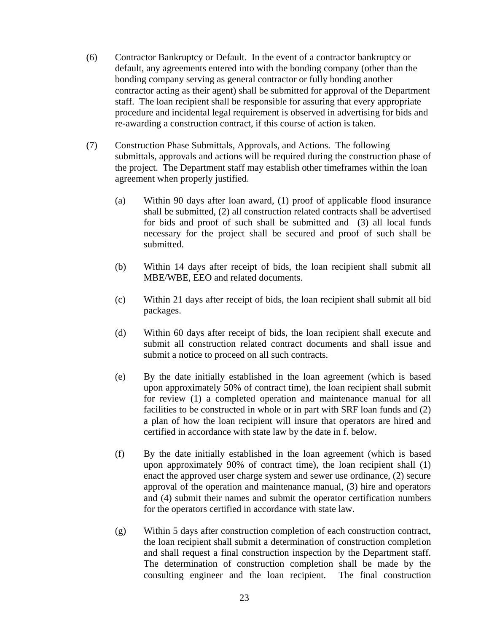- (6) Contractor Bankruptcy or Default. In the event of a contractor bankruptcy or default, any agreements entered into with the bonding company (other than the bonding company serving as general contractor or fully bonding another contractor acting as their agent) shall be submitted for approval of the Department staff. The loan recipient shall be responsible for assuring that every appropriate procedure and incidental legal requirement is observed in advertising for bids and re-awarding a construction contract, if this course of action is taken.
- (7) Construction Phase Submittals, Approvals, and Actions. The following submittals, approvals and actions will be required during the construction phase of the project. The Department staff may establish other timeframes within the loan agreement when properly justified.
	- (a) Within 90 days after loan award, (1) proof of applicable flood insurance shall be submitted, (2) all construction related contracts shall be advertised for bids and proof of such shall be submitted and (3) all local funds necessary for the project shall be secured and proof of such shall be submitted.
	- (b) Within 14 days after receipt of bids, the loan recipient shall submit all MBE/WBE, EEO and related documents.
	- (c) Within 21 days after receipt of bids, the loan recipient shall submit all bid packages.
	- (d) Within 60 days after receipt of bids, the loan recipient shall execute and submit all construction related contract documents and shall issue and submit a notice to proceed on all such contracts.
	- (e) By the date initially established in the loan agreement (which is based upon approximately 50% of contract time), the loan recipient shall submit for review (1) a completed operation and maintenance manual for all facilities to be constructed in whole or in part with SRF loan funds and (2) a plan of how the loan recipient will insure that operators are hired and certified in accordance with state law by the date in f. below.
	- (f) By the date initially established in the loan agreement (which is based upon approximately 90% of contract time), the loan recipient shall (1) enact the approved user charge system and sewer use ordinance, (2) secure approval of the operation and maintenance manual, (3) hire and operators and (4) submit their names and submit the operator certification numbers for the operators certified in accordance with state law.
	- (g) Within 5 days after construction completion of each construction contract, the loan recipient shall submit a determination of construction completion and shall request a final construction inspection by the Department staff. The determination of construction completion shall be made by the consulting engineer and the loan recipient. The final construction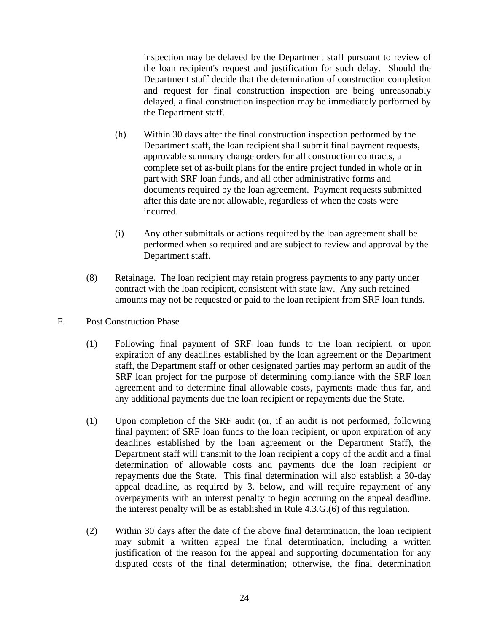inspection may be delayed by the Department staff pursuant to review of the loan recipient's request and justification for such delay. Should the Department staff decide that the determination of construction completion and request for final construction inspection are being unreasonably delayed, a final construction inspection may be immediately performed by the Department staff.

- (h) Within 30 days after the final construction inspection performed by the Department staff, the loan recipient shall submit final payment requests, approvable summary change orders for all construction contracts, a complete set of as-built plans for the entire project funded in whole or in part with SRF loan funds, and all other administrative forms and documents required by the loan agreement. Payment requests submitted after this date are not allowable, regardless of when the costs were incurred.
- (i) Any other submittals or actions required by the loan agreement shall be performed when so required and are subject to review and approval by the Department staff.
- (8) Retainage. The loan recipient may retain progress payments to any party under contract with the loan recipient, consistent with state law. Any such retained amounts may not be requested or paid to the loan recipient from SRF loan funds.
- F. Post Construction Phase
	- (1) Following final payment of SRF loan funds to the loan recipient, or upon expiration of any deadlines established by the loan agreement or the Department staff, the Department staff or other designated parties may perform an audit of the SRF loan project for the purpose of determining compliance with the SRF loan agreement and to determine final allowable costs, payments made thus far, and any additional payments due the loan recipient or repayments due the State.
	- (1) Upon completion of the SRF audit (or, if an audit is not performed, following final payment of SRF loan funds to the loan recipient, or upon expiration of any deadlines established by the loan agreement or the Department Staff), the Department staff will transmit to the loan recipient a copy of the audit and a final determination of allowable costs and payments due the loan recipient or repayments due the State. This final determination will also establish a 30-day appeal deadline, as required by 3. below, and will require repayment of any overpayments with an interest penalty to begin accruing on the appeal deadline. the interest penalty will be as established in Rule 4.3.G.(6) of this regulation.
	- (2) Within 30 days after the date of the above final determination, the loan recipient may submit a written appeal the final determination, including a written justification of the reason for the appeal and supporting documentation for any disputed costs of the final determination; otherwise, the final determination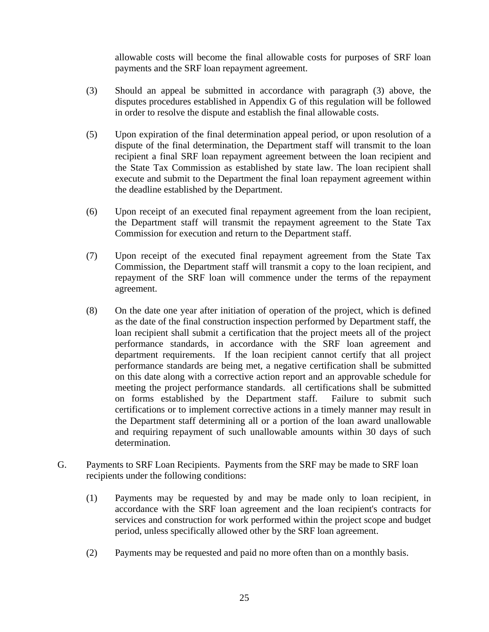allowable costs will become the final allowable costs for purposes of SRF loan payments and the SRF loan repayment agreement.

- (3) Should an appeal be submitted in accordance with paragraph (3) above, the disputes procedures established in Appendix G of this regulation will be followed in order to resolve the dispute and establish the final allowable costs.
- (5) Upon expiration of the final determination appeal period, or upon resolution of a dispute of the final determination, the Department staff will transmit to the loan recipient a final SRF loan repayment agreement between the loan recipient and the State Tax Commission as established by state law. The loan recipient shall execute and submit to the Department the final loan repayment agreement within the deadline established by the Department.
- (6) Upon receipt of an executed final repayment agreement from the loan recipient, the Department staff will transmit the repayment agreement to the State Tax Commission for execution and return to the Department staff.
- (7) Upon receipt of the executed final repayment agreement from the State Tax Commission, the Department staff will transmit a copy to the loan recipient, and repayment of the SRF loan will commence under the terms of the repayment agreement.
- (8) On the date one year after initiation of operation of the project, which is defined as the date of the final construction inspection performed by Department staff, the loan recipient shall submit a certification that the project meets all of the project performance standards, in accordance with the SRF loan agreement and department requirements. If the loan recipient cannot certify that all project performance standards are being met, a negative certification shall be submitted on this date along with a corrective action report and an approvable schedule for meeting the project performance standards. all certifications shall be submitted on forms established by the Department staff. Failure to submit such certifications or to implement corrective actions in a timely manner may result in the Department staff determining all or a portion of the loan award unallowable and requiring repayment of such unallowable amounts within 30 days of such determination.
- G. Payments to SRF Loan Recipients. Payments from the SRF may be made to SRF loan recipients under the following conditions:
	- (1) Payments may be requested by and may be made only to loan recipient, in accordance with the SRF loan agreement and the loan recipient's contracts for services and construction for work performed within the project scope and budget period, unless specifically allowed other by the SRF loan agreement.
	- (2) Payments may be requested and paid no more often than on a monthly basis.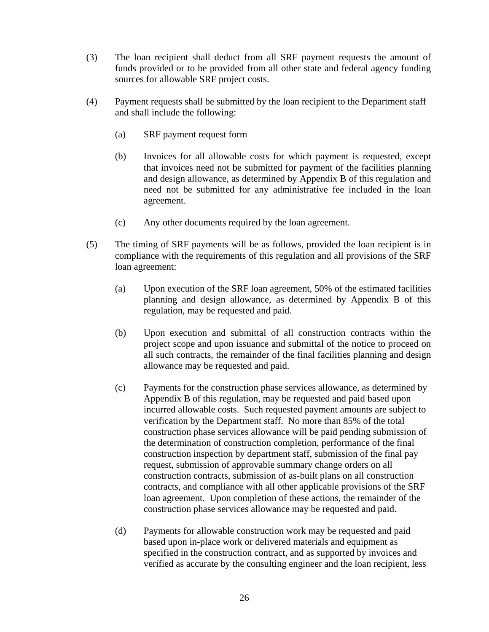- (3) The loan recipient shall deduct from all SRF payment requests the amount of funds provided or to be provided from all other state and federal agency funding sources for allowable SRF project costs.
- (4) Payment requests shall be submitted by the loan recipient to the Department staff and shall include the following:
	- (a) SRF payment request form
	- (b) Invoices for all allowable costs for which payment is requested, except that invoices need not be submitted for payment of the facilities planning and design allowance, as determined by Appendix B of this regulation and need not be submitted for any administrative fee included in the loan agreement.
	- (c) Any other documents required by the loan agreement.
- (5) The timing of SRF payments will be as follows, provided the loan recipient is in compliance with the requirements of this regulation and all provisions of the SRF loan agreement:
	- (a) Upon execution of the SRF loan agreement, 50% of the estimated facilities planning and design allowance, as determined by Appendix B of this regulation, may be requested and paid.
	- (b) Upon execution and submittal of all construction contracts within the project scope and upon issuance and submittal of the notice to proceed on all such contracts, the remainder of the final facilities planning and design allowance may be requested and paid.
	- (c) Payments for the construction phase services allowance, as determined by Appendix B of this regulation, may be requested and paid based upon incurred allowable costs. Such requested payment amounts are subject to verification by the Department staff. No more than 85% of the total construction phase services allowance will be paid pending submission of the determination of construction completion, performance of the final construction inspection by department staff, submission of the final pay request, submission of approvable summary change orders on all construction contracts, submission of as-built plans on all construction contracts, and compliance with all other applicable provisions of the SRF loan agreement. Upon completion of these actions, the remainder of the construction phase services allowance may be requested and paid.
	- (d) Payments for allowable construction work may be requested and paid based upon in-place work or delivered materials and equipment as specified in the construction contract, and as supported by invoices and verified as accurate by the consulting engineer and the loan recipient, less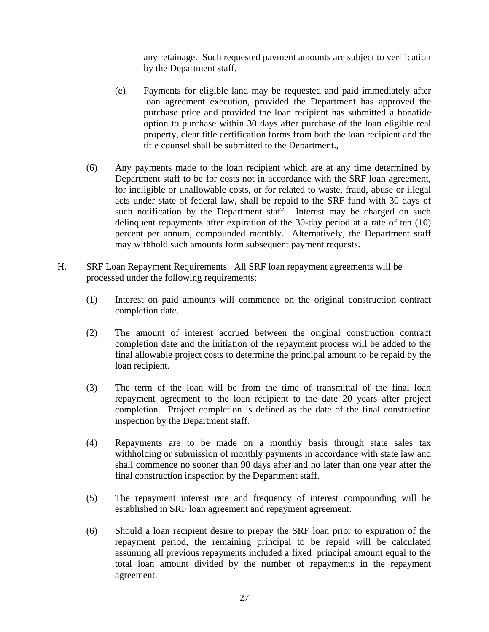any retainage. Such requested payment amounts are subject to verification by the Department staff.

- (e) Payments for eligible land may be requested and paid immediately after loan agreement execution, provided the Department has approved the purchase price and provided the loan recipient has submitted a bonafide option to purchase within 30 days after purchase of the loan eligible real property, clear title certification forms from both the loan recipient and the title counsel shall be submitted to the Department.,
- (6) Any payments made to the loan recipient which are at any time determined by Department staff to be for costs not in accordance with the SRF loan agreement, for ineligible or unallowable costs, or for related to waste, fraud, abuse or illegal acts under state of federal law, shall be repaid to the SRF fund with 30 days of such notification by the Department staff. Interest may be charged on such delinquent repayments after expiration of the 30-day period at a rate of ten (10) percent per annum, compounded monthly. Alternatively, the Department staff may withhold such amounts form subsequent payment requests.
- H. SRF Loan Repayment Requirements. All SRF loan repayment agreements will be processed under the following requirements:
	- (1) Interest on paid amounts will commence on the original construction contract completion date.
	- (2) The amount of interest accrued between the original construction contract completion date and the initiation of the repayment process will be added to the final allowable project costs to determine the principal amount to be repaid by the loan recipient.
	- (3) The term of the loan will be from the time of transmittal of the final loan repayment agreement to the loan recipient to the date 20 years after project completion. Project completion is defined as the date of the final construction inspection by the Department staff.
	- (4) Repayments are to be made on a monthly basis through state sales tax withholding or submission of monthly payments in accordance with state law and shall commence no sooner than 90 days after and no later than one year after the final construction inspection by the Department staff.
	- (5) The repayment interest rate and frequency of interest compounding will be established in SRF loan agreement and repayment agreement.
	- (6) Should a loan recipient desire to prepay the SRF loan prior to expiration of the repayment period, the remaining principal to be repaid will be calculated assuming all previous repayments included a fixed principal amount equal to the total loan amount divided by the number of repayments in the repayment agreement.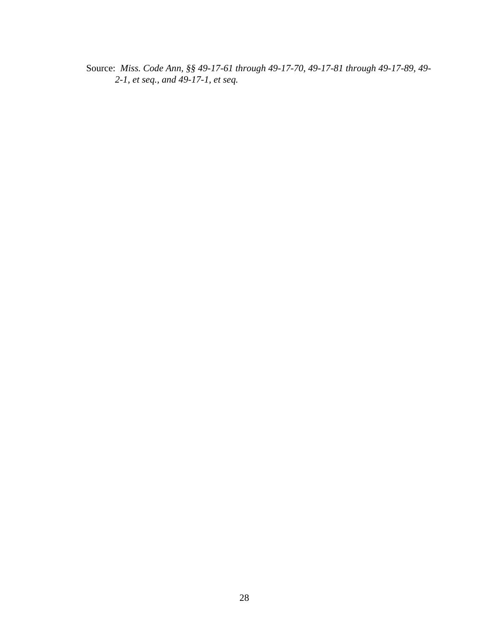Source: *Miss. Code Ann, §§ 49-17-61 through 49-17-70, 49-17-81 through 49-17-89, 49- 2-1, et seq., and 49-17-1, et seq.*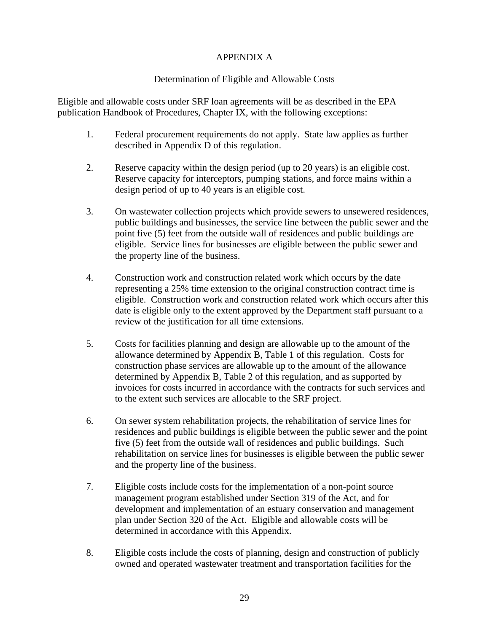## APPENDIX A

## Determination of Eligible and Allowable Costs

Eligible and allowable costs under SRF loan agreements will be as described in the EPA publication Handbook of Procedures, Chapter IX, with the following exceptions:

- 1. Federal procurement requirements do not apply. State law applies as further described in Appendix D of this regulation.
- 2. Reserve capacity within the design period (up to 20 years) is an eligible cost. Reserve capacity for interceptors, pumping stations, and force mains within a design period of up to 40 years is an eligible cost.
- 3. On wastewater collection projects which provide sewers to unsewered residences, public buildings and businesses, the service line between the public sewer and the point five (5) feet from the outside wall of residences and public buildings are eligible. Service lines for businesses are eligible between the public sewer and the property line of the business.
- 4. Construction work and construction related work which occurs by the date representing a 25% time extension to the original construction contract time is eligible. Construction work and construction related work which occurs after this date is eligible only to the extent approved by the Department staff pursuant to a review of the justification for all time extensions.
- 5. Costs for facilities planning and design are allowable up to the amount of the allowance determined by Appendix B, Table 1 of this regulation. Costs for construction phase services are allowable up to the amount of the allowance determined by Appendix B, Table 2 of this regulation, and as supported by invoices for costs incurred in accordance with the contracts for such services and to the extent such services are allocable to the SRF project.
- 6. On sewer system rehabilitation projects, the rehabilitation of service lines for residences and public buildings is eligible between the public sewer and the point five (5) feet from the outside wall of residences and public buildings. Such rehabilitation on service lines for businesses is eligible between the public sewer and the property line of the business.
- 7. Eligible costs include costs for the implementation of a non-point source management program established under Section 319 of the Act, and for development and implementation of an estuary conservation and management plan under Section 320 of the Act. Eligible and allowable costs will be determined in accordance with this Appendix.
- 8. Eligible costs include the costs of planning, design and construction of publicly owned and operated wastewater treatment and transportation facilities for the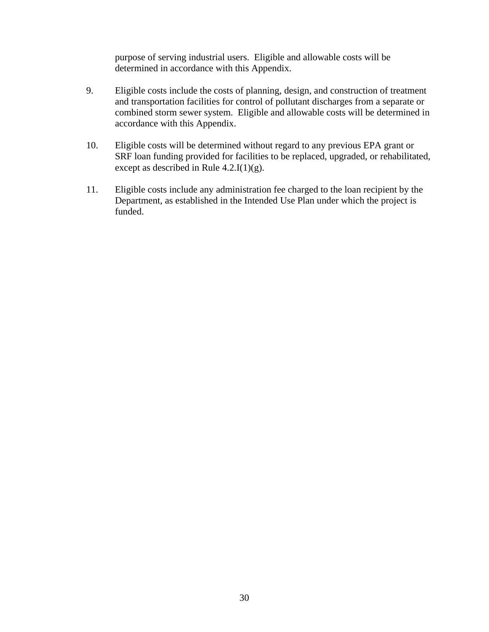purpose of serving industrial users. Eligible and allowable costs will be determined in accordance with this Appendix.

- 9. Eligible costs include the costs of planning, design, and construction of treatment and transportation facilities for control of pollutant discharges from a separate or combined storm sewer system. Eligible and allowable costs will be determined in accordance with this Appendix.
- 10. Eligible costs will be determined without regard to any previous EPA grant or SRF loan funding provided for facilities to be replaced, upgraded, or rehabilitated, except as described in Rule  $4.2 \text{J}(1)(g)$ .
- 11. Eligible costs include any administration fee charged to the loan recipient by the Department, as established in the Intended Use Plan under which the project is funded.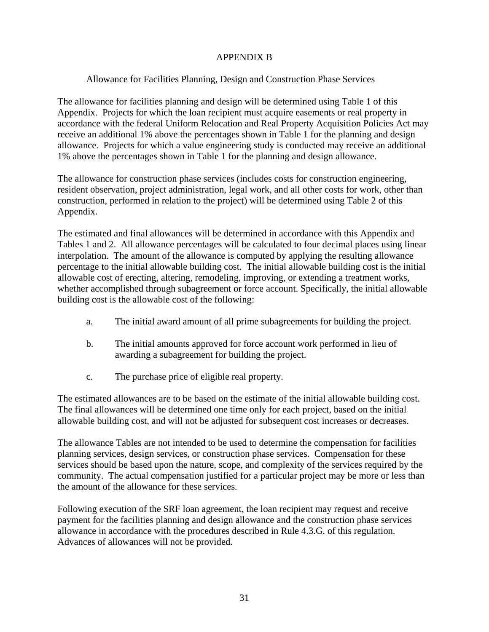## APPENDIX B

## Allowance for Facilities Planning, Design and Construction Phase Services

The allowance for facilities planning and design will be determined using Table 1 of this Appendix. Projects for which the loan recipient must acquire easements or real property in accordance with the federal Uniform Relocation and Real Property Acquisition Policies Act may receive an additional 1% above the percentages shown in Table 1 for the planning and design allowance. Projects for which a value engineering study is conducted may receive an additional 1% above the percentages shown in Table 1 for the planning and design allowance.

The allowance for construction phase services (includes costs for construction engineering, resident observation, project administration, legal work, and all other costs for work, other than construction, performed in relation to the project) will be determined using Table 2 of this Appendix.

The estimated and final allowances will be determined in accordance with this Appendix and Tables 1 and 2. All allowance percentages will be calculated to four decimal places using linear interpolation. The amount of the allowance is computed by applying the resulting allowance percentage to the initial allowable building cost. The initial allowable building cost is the initial allowable cost of erecting, altering, remodeling, improving, or extending a treatment works, whether accomplished through subagreement or force account. Specifically, the initial allowable building cost is the allowable cost of the following:

- a. The initial award amount of all prime subagreements for building the project.
- b. The initial amounts approved for force account work performed in lieu of awarding a subagreement for building the project.
- c. The purchase price of eligible real property.

The estimated allowances are to be based on the estimate of the initial allowable building cost. The final allowances will be determined one time only for each project, based on the initial allowable building cost, and will not be adjusted for subsequent cost increases or decreases.

The allowance Tables are not intended to be used to determine the compensation for facilities planning services, design services, or construction phase services. Compensation for these services should be based upon the nature, scope, and complexity of the services required by the community. The actual compensation justified for a particular project may be more or less than the amount of the allowance for these services.

Following execution of the SRF loan agreement, the loan recipient may request and receive payment for the facilities planning and design allowance and the construction phase services allowance in accordance with the procedures described in Rule 4.3.G. of this regulation. Advances of allowances will not be provided.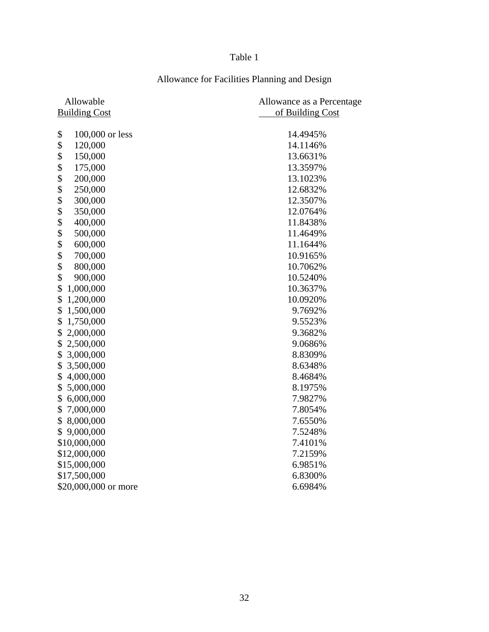# Table 1

| Allowable             | Allowance as a Percentage |
|-----------------------|---------------------------|
| <b>Building Cost</b>  | of Building Cost          |
|                       |                           |
| \$<br>100,000 or less | 14.4945%                  |
| \$<br>120,000         | 14.1146%                  |
| \$<br>150,000         | 13.6631%                  |
| \$<br>175,000         | 13.3597%                  |
| \$<br>200,000         | 13.1023%                  |
| \$<br>250,000         | 12.6832%                  |
| \$<br>300,000         | 12.3507%                  |
| \$<br>350,000         | 12.0764%                  |
| \$<br>400,000         | 11.8438%                  |
| \$<br>500,000         | 11.4649%                  |
| \$<br>600,000         | 11.1644%                  |
| \$<br>700,000         | 10.9165%                  |
| \$<br>800,000         | 10.7062%                  |
| \$<br>900,000         | 10.5240%                  |
| \$<br>1,000,000       | 10.3637%                  |
| \$<br>1,200,000       | 10.0920%                  |
| 1,500,000<br>\$       | 9.7692%                   |
| 1,750,000<br>\$       | 9.5523%                   |
| 2,000,000<br>\$       | 9.3682%                   |
| \$<br>2,500,000       | 9.0686%                   |
| \$<br>3,000,000       | 8.8309%                   |
| \$<br>3,500,000       | 8.6348%                   |
| \$<br>4,000,000       | 8.4684%                   |
| \$<br>5,000,000       | 8.1975%                   |
| \$<br>6,000,000       | 7.9827%                   |
| 7,000,000<br>\$       | 7.8054%                   |
| 8,000,000<br>\$       | 7.6550%                   |
| 9,000,000<br>\$       | 7.5248%                   |
| \$10,000,000          | 7.4101%                   |
| \$12,000,000          | 7.2159%                   |
| \$15,000,000          | 6.9851%                   |
| \$17,500,000          | 6.8300%                   |
| \$20,000,000 or more  | 6.6984%                   |

# Allowance for Facilities Planning and Design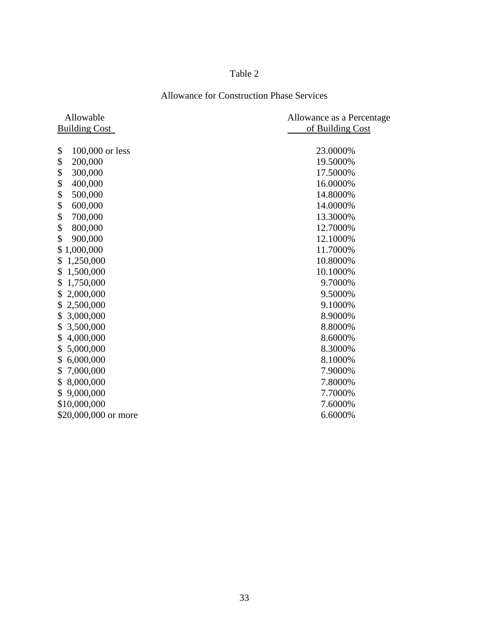# Table 2

# Allowance for Construction Phase Services

| Allowable             | Allowance as a Percentage |
|-----------------------|---------------------------|
| <b>Building Cost</b>  | of Building Cost          |
| \$<br>100,000 or less | 23.0000%                  |
| \$<br>200,000         | 19.5000%                  |
| \$<br>300,000         | 17.5000%                  |
| \$<br>400,000         | 16.0000%                  |
| \$<br>500,000         | 14.8000%                  |
| \$<br>600,000         | 14.0000%                  |
| \$<br>700,000         | 13.3000%                  |
| \$<br>800,000         | 12.7000%                  |
| \$<br>900,000         | 12.1000%                  |
| 1,000,000<br>\$       | 11.7000%                  |
| 1,250,000<br>\$       | 10.8000%                  |
| 1,500,000<br>\$       | 10.1000%                  |
| 1,750,000<br>\$       | 9.7000%                   |
| 2,000,000<br>\$       | 9.5000%                   |
| 2,500,000<br>\$       | 9.1000%                   |
| 3,000,000<br>\$       | 8.9000%                   |
| 3,500,000<br>\$       | 8.8000%                   |
| 4,000,000<br>\$       | 8.6000%                   |
| 5,000,000<br>\$       | 8.3000%                   |
| 6,000,000<br>\$       | 8.1000%                   |
| 7,000,000<br>\$       | 7.9000%                   |
| 8,000,000<br>\$       | 7.8000%                   |
| 9,000,000<br>\$       | 7.7000%                   |
| \$10,000,000          | 7.6000%                   |
| \$20,000,000 or more  | 6.6000%                   |
|                       |                           |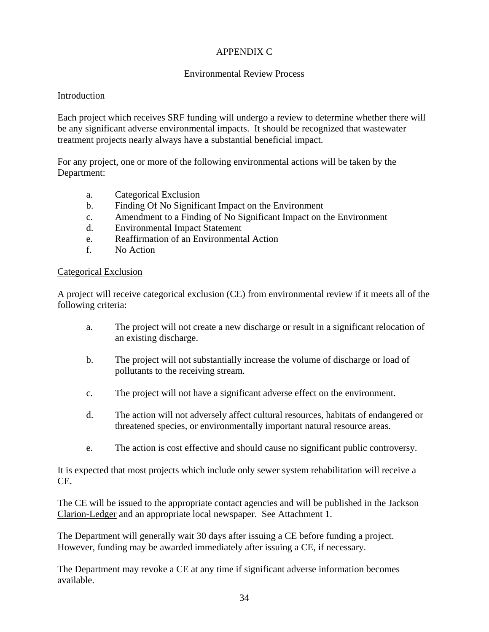## APPENDIX C

## Environmental Review Process

#### Introduction

Each project which receives SRF funding will undergo a review to determine whether there will be any significant adverse environmental impacts. It should be recognized that wastewater treatment projects nearly always have a substantial beneficial impact.

For any project, one or more of the following environmental actions will be taken by the Department:

- a. Categorical Exclusion
- b. Finding Of No Significant Impact on the Environment
- c. Amendment to a Finding of No Significant Impact on the Environment
- d. Environmental Impact Statement
- e. Reaffirmation of an Environmental Action
- f. No Action

#### Categorical Exclusion

A project will receive categorical exclusion (CE) from environmental review if it meets all of the following criteria:

- a. The project will not create a new discharge or result in a significant relocation of an existing discharge.
- b. The project will not substantially increase the volume of discharge or load of pollutants to the receiving stream.
- c. The project will not have a significant adverse effect on the environment.
- d. The action will not adversely affect cultural resources, habitats of endangered or threatened species, or environmentally important natural resource areas.
- e. The action is cost effective and should cause no significant public controversy.

It is expected that most projects which include only sewer system rehabilitation will receive a CE.

The CE will be issued to the appropriate contact agencies and will be published in the Jackson Clarion-Ledger and an appropriate local newspaper. See Attachment 1.

The Department will generally wait 30 days after issuing a CE before funding a project. However, funding may be awarded immediately after issuing a CE, if necessary.

The Department may revoke a CE at any time if significant adverse information becomes available.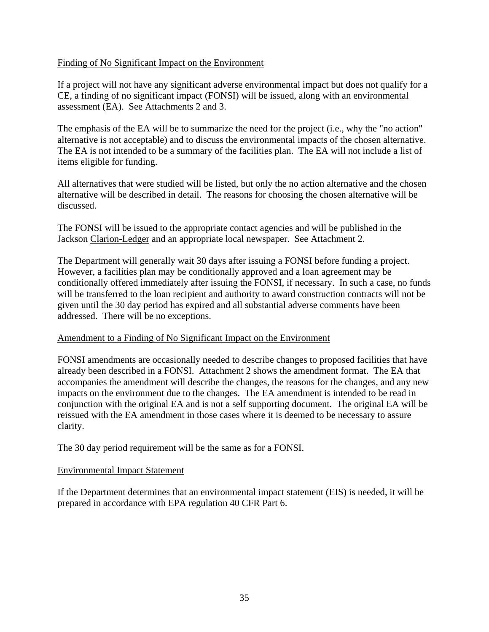## Finding of No Significant Impact on the Environment

If a project will not have any significant adverse environmental impact but does not qualify for a CE, a finding of no significant impact (FONSI) will be issued, along with an environmental assessment (EA). See Attachments 2 and 3.

The emphasis of the EA will be to summarize the need for the project (i.e., why the "no action" alternative is not acceptable) and to discuss the environmental impacts of the chosen alternative. The EA is not intended to be a summary of the facilities plan. The EA will not include a list of items eligible for funding.

All alternatives that were studied will be listed, but only the no action alternative and the chosen alternative will be described in detail. The reasons for choosing the chosen alternative will be discussed.

The FONSI will be issued to the appropriate contact agencies and will be published in the Jackson Clarion-Ledger and an appropriate local newspaper. See Attachment 2.

The Department will generally wait 30 days after issuing a FONSI before funding a project. However, a facilities plan may be conditionally approved and a loan agreement may be conditionally offered immediately after issuing the FONSI, if necessary. In such a case, no funds will be transferred to the loan recipient and authority to award construction contracts will not be given until the 30 day period has expired and all substantial adverse comments have been addressed. There will be no exceptions.

## Amendment to a Finding of No Significant Impact on the Environment

FONSI amendments are occasionally needed to describe changes to proposed facilities that have already been described in a FONSI. Attachment 2 shows the amendment format. The EA that accompanies the amendment will describe the changes, the reasons for the changes, and any new impacts on the environment due to the changes. The EA amendment is intended to be read in conjunction with the original EA and is not a self supporting document. The original EA will be reissued with the EA amendment in those cases where it is deemed to be necessary to assure clarity.

The 30 day period requirement will be the same as for a FONSI.

#### Environmental Impact Statement

If the Department determines that an environmental impact statement (EIS) is needed, it will be prepared in accordance with EPA regulation 40 CFR Part 6.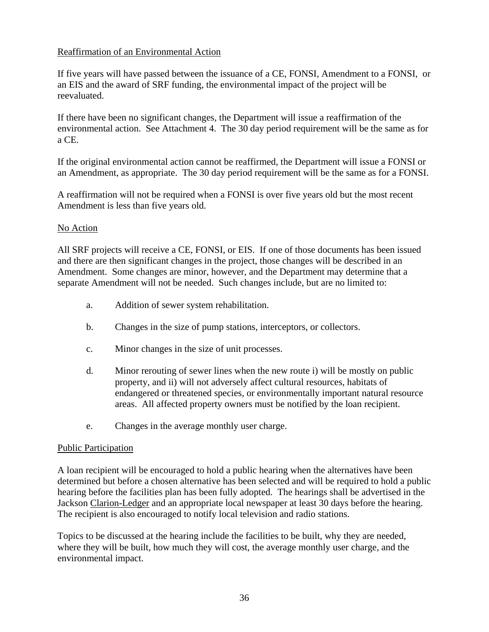## Reaffirmation of an Environmental Action

If five years will have passed between the issuance of a CE, FONSI, Amendment to a FONSI, or an EIS and the award of SRF funding, the environmental impact of the project will be reevaluated.

If there have been no significant changes, the Department will issue a reaffirmation of the environmental action. See Attachment 4. The 30 day period requirement will be the same as for a CE.

If the original environmental action cannot be reaffirmed, the Department will issue a FONSI or an Amendment, as appropriate. The 30 day period requirement will be the same as for a FONSI.

A reaffirmation will not be required when a FONSI is over five years old but the most recent Amendment is less than five years old.

## No Action

All SRF projects will receive a CE, FONSI, or EIS. If one of those documents has been issued and there are then significant changes in the project, those changes will be described in an Amendment. Some changes are minor, however, and the Department may determine that a separate Amendment will not be needed. Such changes include, but are no limited to:

- a. Addition of sewer system rehabilitation.
- b. Changes in the size of pump stations, interceptors, or collectors.
- c. Minor changes in the size of unit processes.
- d. Minor rerouting of sewer lines when the new route i) will be mostly on public property, and ii) will not adversely affect cultural resources, habitats of endangered or threatened species, or environmentally important natural resource areas. All affected property owners must be notified by the loan recipient.
- e. Changes in the average monthly user charge.

#### Public Participation

A loan recipient will be encouraged to hold a public hearing when the alternatives have been determined but before a chosen alternative has been selected and will be required to hold a public hearing before the facilities plan has been fully adopted. The hearings shall be advertised in the Jackson Clarion-Ledger and an appropriate local newspaper at least 30 days before the hearing. The recipient is also encouraged to notify local television and radio stations.

Topics to be discussed at the hearing include the facilities to be built, why they are needed, where they will be built, how much they will cost, the average monthly user charge, and the environmental impact.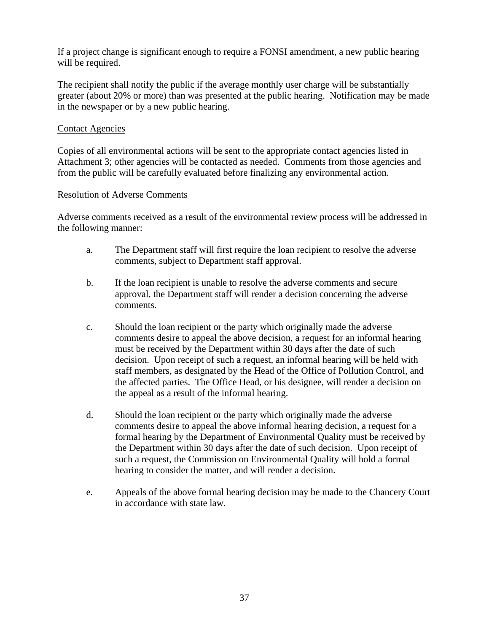If a project change is significant enough to require a FONSI amendment, a new public hearing will be required.

The recipient shall notify the public if the average monthly user charge will be substantially greater (about 20% or more) than was presented at the public hearing. Notification may be made in the newspaper or by a new public hearing.

### Contact Agencies

Copies of all environmental actions will be sent to the appropriate contact agencies listed in Attachment 3; other agencies will be contacted as needed. Comments from those agencies and from the public will be carefully evaluated before finalizing any environmental action.

#### Resolution of Adverse Comments

Adverse comments received as a result of the environmental review process will be addressed in the following manner:

- a. The Department staff will first require the loan recipient to resolve the adverse comments, subject to Department staff approval.
- b. If the loan recipient is unable to resolve the adverse comments and secure approval, the Department staff will render a decision concerning the adverse comments.
- c. Should the loan recipient or the party which originally made the adverse comments desire to appeal the above decision, a request for an informal hearing must be received by the Department within 30 days after the date of such decision. Upon receipt of such a request, an informal hearing will be held with staff members, as designated by the Head of the Office of Pollution Control, and the affected parties. The Office Head, or his designee, will render a decision on the appeal as a result of the informal hearing.
- d. Should the loan recipient or the party which originally made the adverse comments desire to appeal the above informal hearing decision, a request for a formal hearing by the Department of Environmental Quality must be received by the Department within 30 days after the date of such decision. Upon receipt of such a request, the Commission on Environmental Quality will hold a formal hearing to consider the matter, and will render a decision.
- e. Appeals of the above formal hearing decision may be made to the Chancery Court in accordance with state law.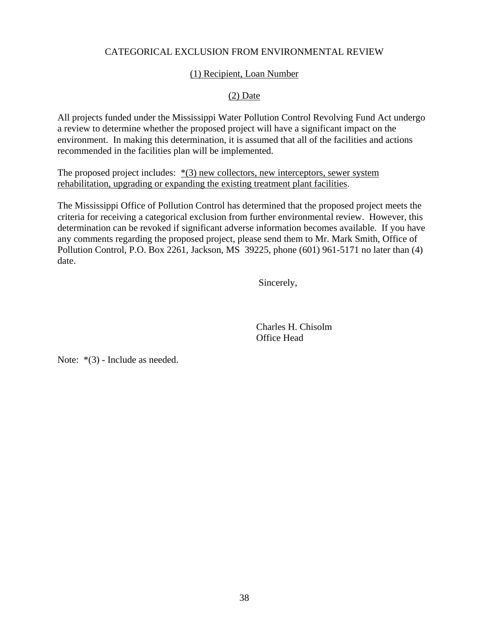## CATEGORICAL EXCLUSION FROM ENVIRONMENTAL REVIEW

### (1) Recipient, Loan Number

## (2) Date

All projects funded under the Mississippi Water Pollution Control Revolving Fund Act undergo a review to determine whether the proposed project will have a significant impact on the environment. In making this determination, it is assumed that all of the facilities and actions recommended in the facilities plan will be implemented.

The proposed project includes:  $*(3)$  new collectors, new interceptors, sewer system rehabilitation, upgrading or expanding the existing treatment plant facilities.

The Mississippi Office of Pollution Control has determined that the proposed project meets the criteria for receiving a categorical exclusion from further environmental review. However, this determination can be revoked if significant adverse information becomes available. If you have any comments regarding the proposed project, please send them to Mr. Mark Smith, Office of Pollution Control, P.O. Box 2261, Jackson, MS 39225, phone (601) 961-5171 no later than (4) date.

Sincerely,

 Charles H. Chisolm Office Head

Note: \*(3) - Include as needed.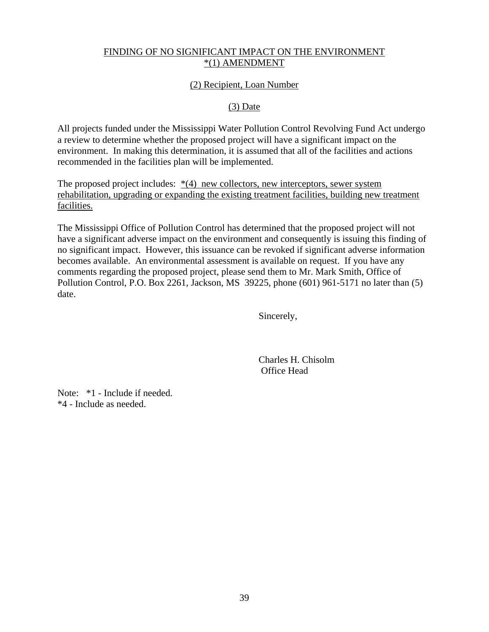## FINDING OF NO SIGNIFICANT IMPACT ON THE ENVIRONMENT \*(1) AMENDMENT

## (2) Recipient, Loan Number

#### (3) Date

All projects funded under the Mississippi Water Pollution Control Revolving Fund Act undergo a review to determine whether the proposed project will have a significant impact on the environment. In making this determination, it is assumed that all of the facilities and actions recommended in the facilities plan will be implemented.

The proposed project includes: \*(4) new collectors, new interceptors, sewer system rehabilitation, upgrading or expanding the existing treatment facilities, building new treatment facilities.

The Mississippi Office of Pollution Control has determined that the proposed project will not have a significant adverse impact on the environment and consequently is issuing this finding of no significant impact. However, this issuance can be revoked if significant adverse information becomes available. An environmental assessment is available on request. If you have any comments regarding the proposed project, please send them to Mr. Mark Smith, Office of Pollution Control, P.O. Box 2261, Jackson, MS 39225, phone (601) 961-5171 no later than (5) date.

Sincerely,

 Charles H. Chisolm Office Head

Note: \*1 - Include if needed. \*4 - Include as needed.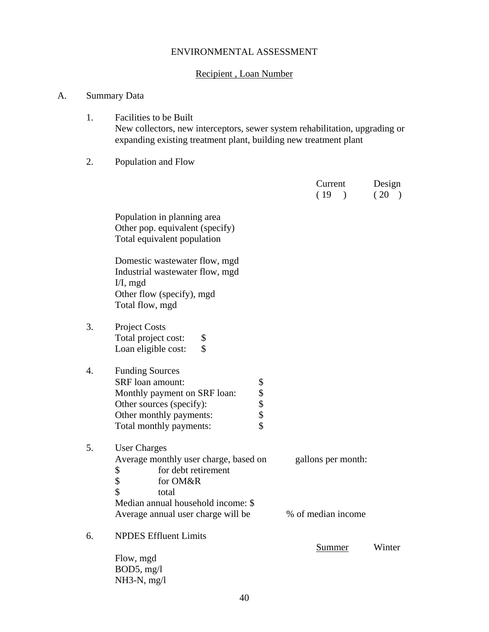## ENVIRONMENTAL ASSESSMENT

## Recipient , Loan Number

## A. Summary Data

1. Facilities to be Built New collectors, new interceptors, sewer system rehabilitation, upgrading or expanding existing treatment plant, building new treatment plant

## 2. Population and Flow

|    |                                                                                                                                                                                                        | Current<br>(19)<br>$\lambda$             | Design<br>(20) |
|----|--------------------------------------------------------------------------------------------------------------------------------------------------------------------------------------------------------|------------------------------------------|----------------|
|    | Population in planning area<br>Other pop. equivalent (specify)<br>Total equivalent population                                                                                                          |                                          |                |
|    | Domestic wastewater flow, mgd<br>Industrial wastewater flow, mgd<br>$I/I$ , mgd<br>Other flow (specify), mgd<br>Total flow, mgd                                                                        |                                          |                |
| 3. | <b>Project Costs</b><br>Total project cost:<br>\$<br>\$<br>Loan eligible cost:                                                                                                                         |                                          |                |
| 4. | <b>Funding Sources</b><br>\$\$\$\$\$<br><b>SRF</b> loan amount:<br>Monthly payment on SRF loan:<br>Other sources (specify):<br>Other monthly payments:<br>Total monthly payments:                      |                                          |                |
| 5. | <b>User Charges</b><br>Average monthly user charge, based on<br>\$<br>for debt retirement<br>\$<br>for OM&R<br>\$<br>total<br>Median annual household income: \$<br>Average annual user charge will be | gallons per month:<br>% of median income |                |
| 6. | <b>NPDES Effluent Limits</b>                                                                                                                                                                           | Summer                                   | Winter         |
|    | Flow, mgd<br>BOD5, mg/l<br>$NH3-N$ , mg/l                                                                                                                                                              |                                          |                |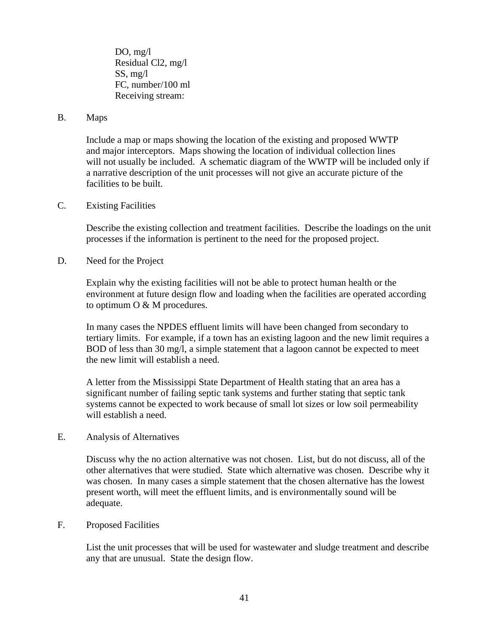DO, mg/l Residual Cl2, mg/l SS, mg/l FC, number/100 ml Receiving stream:

#### B. Maps

Include a map or maps showing the location of the existing and proposed WWTP and major interceptors. Maps showing the location of individual collection lines will not usually be included. A schematic diagram of the WWTP will be included only if a narrative description of the unit processes will not give an accurate picture of the facilities to be built.

#### C. Existing Facilities

Describe the existing collection and treatment facilities. Describe the loadings on the unit processes if the information is pertinent to the need for the proposed project.

D. Need for the Project

Explain why the existing facilities will not be able to protect human health or the environment at future design flow and loading when the facilities are operated according to optimum O & M procedures.

In many cases the NPDES effluent limits will have been changed from secondary to tertiary limits. For example, if a town has an existing lagoon and the new limit requires a BOD of less than 30 mg/l, a simple statement that a lagoon cannot be expected to meet the new limit will establish a need.

A letter from the Mississippi State Department of Health stating that an area has a significant number of failing septic tank systems and further stating that septic tank systems cannot be expected to work because of small lot sizes or low soil permeability will establish a need.

E. Analysis of Alternatives

Discuss why the no action alternative was not chosen. List, but do not discuss, all of the other alternatives that were studied. State which alternative was chosen. Describe why it was chosen. In many cases a simple statement that the chosen alternative has the lowest present worth, will meet the effluent limits, and is environmentally sound will be adequate.

#### F. Proposed Facilities

List the unit processes that will be used for wastewater and sludge treatment and describe any that are unusual. State the design flow.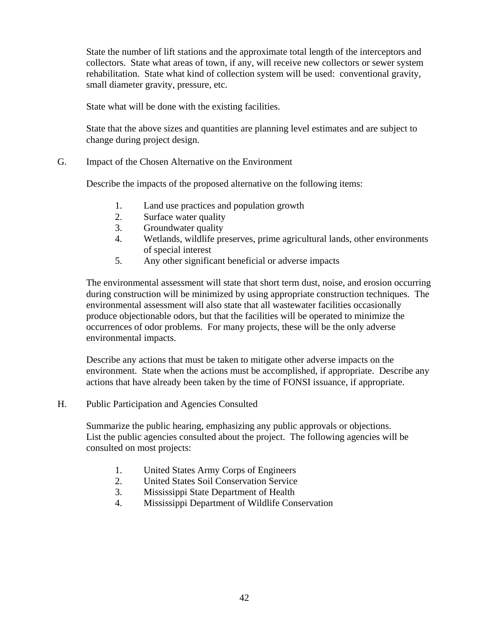State the number of lift stations and the approximate total length of the interceptors and collectors. State what areas of town, if any, will receive new collectors or sewer system rehabilitation. State what kind of collection system will be used: conventional gravity, small diameter gravity, pressure, etc.

State what will be done with the existing facilities.

State that the above sizes and quantities are planning level estimates and are subject to change during project design.

G. Impact of the Chosen Alternative on the Environment

Describe the impacts of the proposed alternative on the following items:

- 1. Land use practices and population growth
- 2. Surface water quality
- 3. Groundwater quality
- 4. Wetlands, wildlife preserves, prime agricultural lands, other environments of special interest
- 5. Any other significant beneficial or adverse impacts

The environmental assessment will state that short term dust, noise, and erosion occurring during construction will be minimized by using appropriate construction techniques. The environmental assessment will also state that all wastewater facilities occasionally produce objectionable odors, but that the facilities will be operated to minimize the occurrences of odor problems. For many projects, these will be the only adverse environmental impacts.

Describe any actions that must be taken to mitigate other adverse impacts on the environment. State when the actions must be accomplished, if appropriate. Describe any actions that have already been taken by the time of FONSI issuance, if appropriate.

H. Public Participation and Agencies Consulted

Summarize the public hearing, emphasizing any public approvals or objections. List the public agencies consulted about the project. The following agencies will be consulted on most projects:

- 1. United States Army Corps of Engineers
- 2. United States Soil Conservation Service
- 3. Mississippi State Department of Health
- 4. Mississippi Department of Wildlife Conservation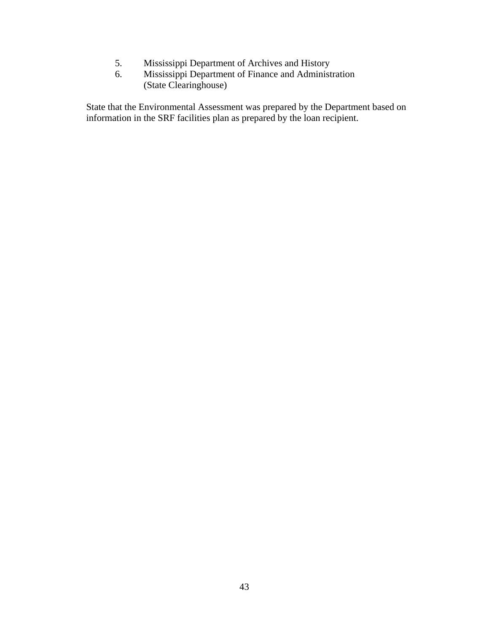- 5. Mississippi Department of Archives and History
- 6. Mississippi Department of Finance and Administration (State Clearinghouse)

State that the Environmental Assessment was prepared by the Department based on information in the SRF facilities plan as prepared by the loan recipient.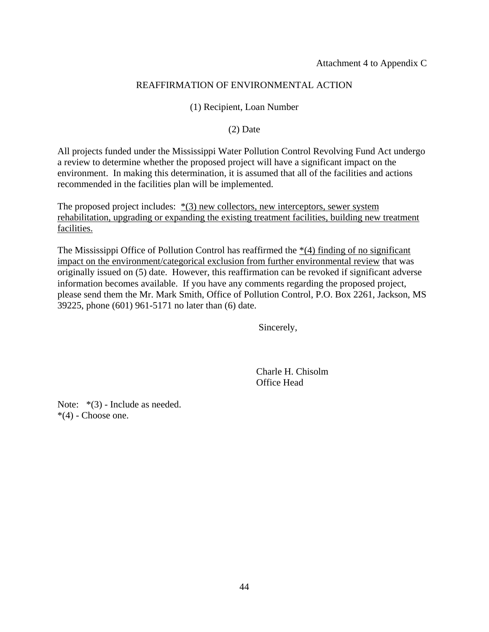## REAFFIRMATION OF ENVIRONMENTAL ACTION

### (1) Recipient, Loan Number

### (2) Date

All projects funded under the Mississippi Water Pollution Control Revolving Fund Act undergo a review to determine whether the proposed project will have a significant impact on the environment. In making this determination, it is assumed that all of the facilities and actions recommended in the facilities plan will be implemented.

The proposed project includes:  $*(3)$  new collectors, new interceptors, sewer system rehabilitation, upgrading or expanding the existing treatment facilities, building new treatment facilities.

The Mississippi Office of Pollution Control has reaffirmed the  $*(4)$  finding of no significant impact on the environment/categorical exclusion from further environmental review that was originally issued on (5) date. However, this reaffirmation can be revoked if significant adverse information becomes available. If you have any comments regarding the proposed project, please send them the Mr. Mark Smith, Office of Pollution Control, P.O. Box 2261, Jackson, MS 39225, phone (601) 961-5171 no later than (6) date.

Sincerely,

 Charle H. Chisolm Office Head

Note:  $*(3)$  - Include as needed.  $*(4)$  - Choose one.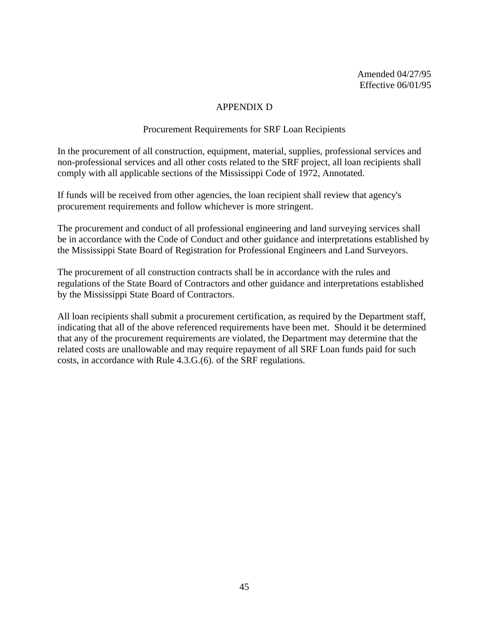Amended 04/27/95 Effective 06/01/95

#### APPENDIX D

#### Procurement Requirements for SRF Loan Recipients

In the procurement of all construction, equipment, material, supplies, professional services and non-professional services and all other costs related to the SRF project, all loan recipients shall comply with all applicable sections of the Mississippi Code of 1972, Annotated.

If funds will be received from other agencies, the loan recipient shall review that agency's procurement requirements and follow whichever is more stringent.

The procurement and conduct of all professional engineering and land surveying services shall be in accordance with the Code of Conduct and other guidance and interpretations established by the Mississippi State Board of Registration for Professional Engineers and Land Surveyors.

The procurement of all construction contracts shall be in accordance with the rules and regulations of the State Board of Contractors and other guidance and interpretations established by the Mississippi State Board of Contractors.

All loan recipients shall submit a procurement certification, as required by the Department staff, indicating that all of the above referenced requirements have been met. Should it be determined that any of the procurement requirements are violated, the Department may determine that the related costs are unallowable and may require repayment of all SRF Loan funds paid for such costs, in accordance with Rule 4.3.G.(6). of the SRF regulations.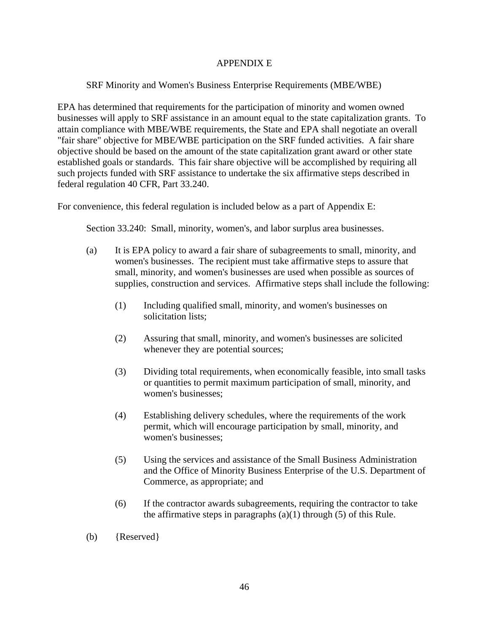## APPENDIX E

## SRF Minority and Women's Business Enterprise Requirements (MBE/WBE)

EPA has determined that requirements for the participation of minority and women owned businesses will apply to SRF assistance in an amount equal to the state capitalization grants. To attain compliance with MBE/WBE requirements, the State and EPA shall negotiate an overall "fair share" objective for MBE/WBE participation on the SRF funded activities. A fair share objective should be based on the amount of the state capitalization grant award or other state established goals or standards. This fair share objective will be accomplished by requiring all such projects funded with SRF assistance to undertake the six affirmative steps described in federal regulation 40 CFR, Part 33.240.

For convenience, this federal regulation is included below as a part of Appendix E:

Section 33.240: Small, minority, women's, and labor surplus area businesses.

- (a) It is EPA policy to award a fair share of subagreements to small, minority, and women's businesses. The recipient must take affirmative steps to assure that small, minority, and women's businesses are used when possible as sources of supplies, construction and services. Affirmative steps shall include the following:
	- (1) Including qualified small, minority, and women's businesses on solicitation lists;
	- (2) Assuring that small, minority, and women's businesses are solicited whenever they are potential sources;
	- (3) Dividing total requirements, when economically feasible, into small tasks or quantities to permit maximum participation of small, minority, and women's businesses;
	- (4) Establishing delivery schedules, where the requirements of the work permit, which will encourage participation by small, minority, and women's businesses;
	- (5) Using the services and assistance of the Small Business Administration and the Office of Minority Business Enterprise of the U.S. Department of Commerce, as appropriate; and
	- (6) If the contractor awards subagreements, requiring the contractor to take the affirmative steps in paragraphs  $(a)(1)$  through  $(5)$  of this Rule.

(b) {Reserved}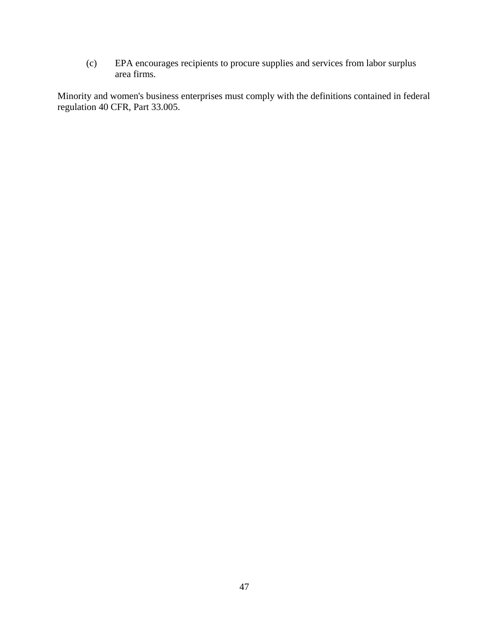(c) EPA encourages recipients to procure supplies and services from labor surplus area firms.

Minority and women's business enterprises must comply with the definitions contained in federal regulation 40 CFR, Part 33.005.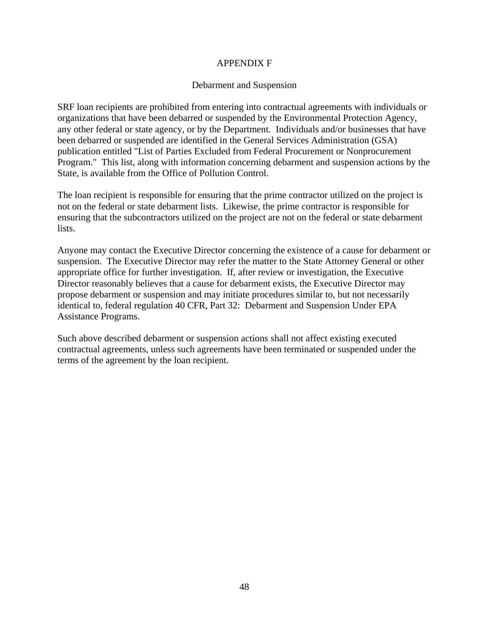### APPENDIX F

#### Debarment and Suspension

SRF loan recipients are prohibited from entering into contractual agreements with individuals or organizations that have been debarred or suspended by the Environmental Protection Agency, any other federal or state agency, or by the Department. Individuals and/or businesses that have been debarred or suspended are identified in the General Services Administration (GSA) publication entitled "List of Parties Excluded from Federal Procurement or Nonprocurement Program." This list, along with information concerning debarment and suspension actions by the State, is available from the Office of Pollution Control.

The loan recipient is responsible for ensuring that the prime contractor utilized on the project is not on the federal or state debarment lists. Likewise, the prime contractor is responsible for ensuring that the subcontractors utilized on the project are not on the federal or state debarment lists.

Anyone may contact the Executive Director concerning the existence of a cause for debarment or suspension. The Executive Director may refer the matter to the State Attorney General or other appropriate office for further investigation. If, after review or investigation, the Executive Director reasonably believes that a cause for debarment exists, the Executive Director may propose debarment or suspension and may initiate procedures similar to, but not necessarily identical to, federal regulation 40 CFR, Part 32: Debarment and Suspension Under EPA Assistance Programs.

Such above described debarment or suspension actions shall not affect existing executed contractual agreements, unless such agreements have been terminated or suspended under the terms of the agreement by the loan recipient.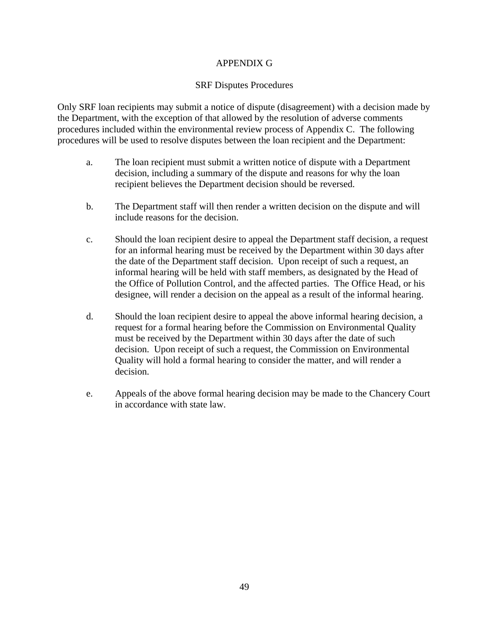## APPENDIX G

#### SRF Disputes Procedures

Only SRF loan recipients may submit a notice of dispute (disagreement) with a decision made by the Department, with the exception of that allowed by the resolution of adverse comments procedures included within the environmental review process of Appendix C. The following procedures will be used to resolve disputes between the loan recipient and the Department:

- a. The loan recipient must submit a written notice of dispute with a Department decision, including a summary of the dispute and reasons for why the loan recipient believes the Department decision should be reversed.
- b. The Department staff will then render a written decision on the dispute and will include reasons for the decision.
- c. Should the loan recipient desire to appeal the Department staff decision, a request for an informal hearing must be received by the Department within 30 days after the date of the Department staff decision. Upon receipt of such a request, an informal hearing will be held with staff members, as designated by the Head of the Office of Pollution Control, and the affected parties. The Office Head, or his designee, will render a decision on the appeal as a result of the informal hearing.
- d. Should the loan recipient desire to appeal the above informal hearing decision, a request for a formal hearing before the Commission on Environmental Quality must be received by the Department within 30 days after the date of such decision. Upon receipt of such a request, the Commission on Environmental Quality will hold a formal hearing to consider the matter, and will render a decision.
- e. Appeals of the above formal hearing decision may be made to the Chancery Court in accordance with state law.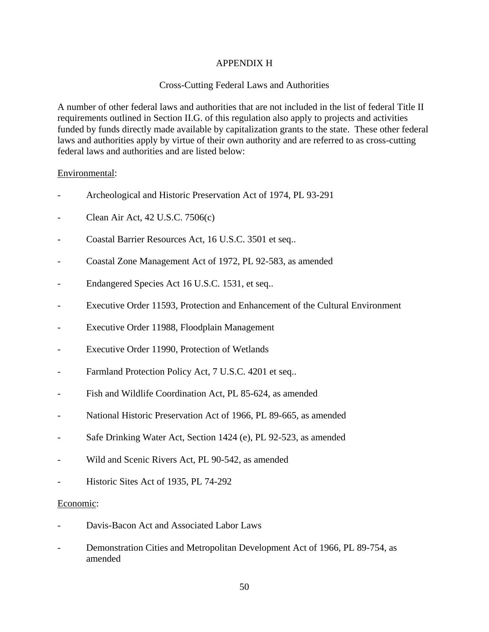## APPENDIX H

## Cross-Cutting Federal Laws and Authorities

A number of other federal laws and authorities that are not included in the list of federal Title II requirements outlined in Section II.G. of this regulation also apply to projects and activities funded by funds directly made available by capitalization grants to the state. These other federal laws and authorities apply by virtue of their own authority and are referred to as cross-cutting federal laws and authorities and are listed below:

#### Environmental:

- Archeological and Historic Preservation Act of 1974, PL 93-291
- Clean Air Act, 42 U.S.C. 7506(c)
- Coastal Barrier Resources Act, 16 U.S.C. 3501 et seq..
- Coastal Zone Management Act of 1972, PL 92-583, as amended
- Endangered Species Act 16 U.S.C. 1531, et seq..
- Executive Order 11593, Protection and Enhancement of the Cultural Environment
- Executive Order 11988, Floodplain Management
- Executive Order 11990, Protection of Wetlands
- Farmland Protection Policy Act, 7 U.S.C. 4201 et seq..
- Fish and Wildlife Coordination Act, PL 85-624, as amended
- National Historic Preservation Act of 1966, PL 89-665, as amended
- Safe Drinking Water Act, Section 1424 (e), PL 92-523, as amended
- Wild and Scenic Rivers Act, PL 90-542, as amended
- Historic Sites Act of 1935, PL 74-292

#### Economic:

- Davis-Bacon Act and Associated Labor Laws
- Demonstration Cities and Metropolitan Development Act of 1966, PL 89-754, as amended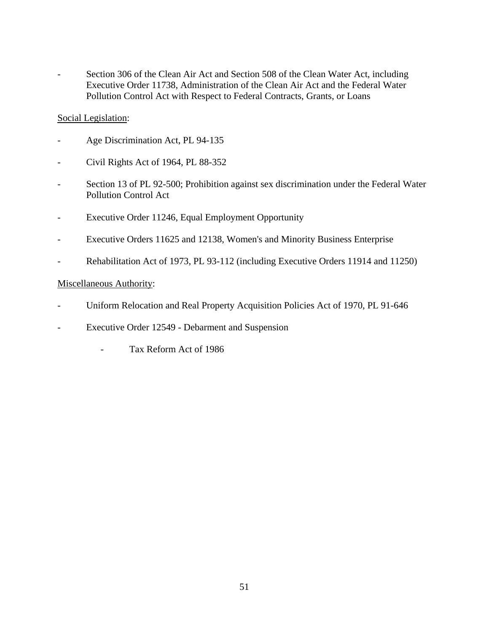Section 306 of the Clean Air Act and Section 508 of the Clean Water Act, including Executive Order 11738, Administration of the Clean Air Act and the Federal Water Pollution Control Act with Respect to Federal Contracts, Grants, or Loans

## Social Legislation:

- Age Discrimination Act, PL 94-135
- Civil Rights Act of 1964, PL 88-352
- Section 13 of PL 92-500; Prohibition against sex discrimination under the Federal Water Pollution Control Act
- Executive Order 11246, Equal Employment Opportunity
- Executive Orders 11625 and 12138, Women's and Minority Business Enterprise
- Rehabilitation Act of 1973, PL 93-112 (including Executive Orders 11914 and 11250)

## Miscellaneous Authority:

- Uniform Relocation and Real Property Acquisition Policies Act of 1970, PL 91-646
- Executive Order 12549 Debarment and Suspension
	- Tax Reform Act of 1986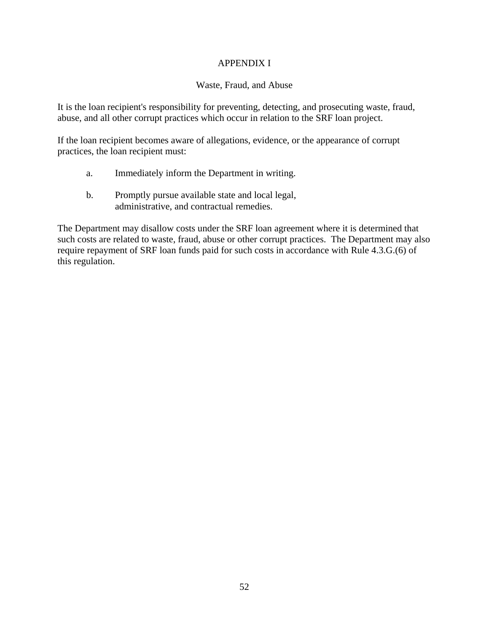## APPENDIX I

## Waste, Fraud, and Abuse

It is the loan recipient's responsibility for preventing, detecting, and prosecuting waste, fraud, abuse, and all other corrupt practices which occur in relation to the SRF loan project.

If the loan recipient becomes aware of allegations, evidence, or the appearance of corrupt practices, the loan recipient must:

- a. Immediately inform the Department in writing.
- b. Promptly pursue available state and local legal, administrative, and contractual remedies.

The Department may disallow costs under the SRF loan agreement where it is determined that such costs are related to waste, fraud, abuse or other corrupt practices. The Department may also require repayment of SRF loan funds paid for such costs in accordance with Rule 4.3.G.(6) of this regulation.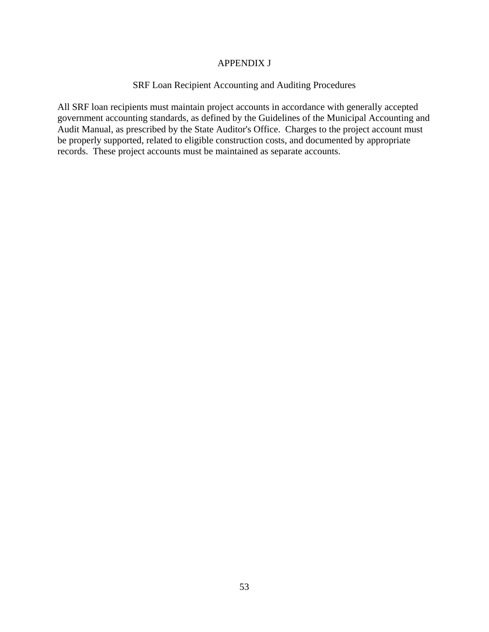#### APPENDIX J

#### SRF Loan Recipient Accounting and Auditing Procedures

All SRF loan recipients must maintain project accounts in accordance with generally accepted government accounting standards, as defined by the Guidelines of the Municipal Accounting and Audit Manual, as prescribed by the State Auditor's Office. Charges to the project account must be properly supported, related to eligible construction costs, and documented by appropriate records. These project accounts must be maintained as separate accounts.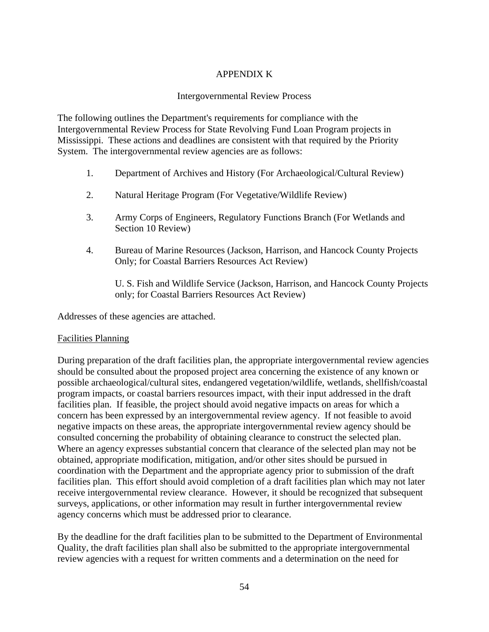## APPENDIX K

### Intergovernmental Review Process

The following outlines the Department's requirements for compliance with the Intergovernmental Review Process for State Revolving Fund Loan Program projects in Mississippi. These actions and deadlines are consistent with that required by the Priority System. The intergovernmental review agencies are as follows:

- 1. Department of Archives and History (For Archaeological/Cultural Review)
- 2. Natural Heritage Program (For Vegetative/Wildlife Review)
- 3. Army Corps of Engineers, Regulatory Functions Branch (For Wetlands and Section 10 Review)
- 4. Bureau of Marine Resources (Jackson, Harrison, and Hancock County Projects Only; for Coastal Barriers Resources Act Review)

U. S. Fish and Wildlife Service (Jackson, Harrison, and Hancock County Projects only; for Coastal Barriers Resources Act Review)

Addresses of these agencies are attached.

#### Facilities Planning

During preparation of the draft facilities plan, the appropriate intergovernmental review agencies should be consulted about the proposed project area concerning the existence of any known or possible archaeological/cultural sites, endangered vegetation/wildlife, wetlands, shellfish/coastal program impacts, or coastal barriers resources impact, with their input addressed in the draft facilities plan. If feasible, the project should avoid negative impacts on areas for which a concern has been expressed by an intergovernmental review agency. If not feasible to avoid negative impacts on these areas, the appropriate intergovernmental review agency should be consulted concerning the probability of obtaining clearance to construct the selected plan. Where an agency expresses substantial concern that clearance of the selected plan may not be obtained, appropriate modification, mitigation, and/or other sites should be pursued in coordination with the Department and the appropriate agency prior to submission of the draft facilities plan. This effort should avoid completion of a draft facilities plan which may not later receive intergovernmental review clearance. However, it should be recognized that subsequent surveys, applications, or other information may result in further intergovernmental review agency concerns which must be addressed prior to clearance.

By the deadline for the draft facilities plan to be submitted to the Department of Environmental Quality, the draft facilities plan shall also be submitted to the appropriate intergovernmental review agencies with a request for written comments and a determination on the need for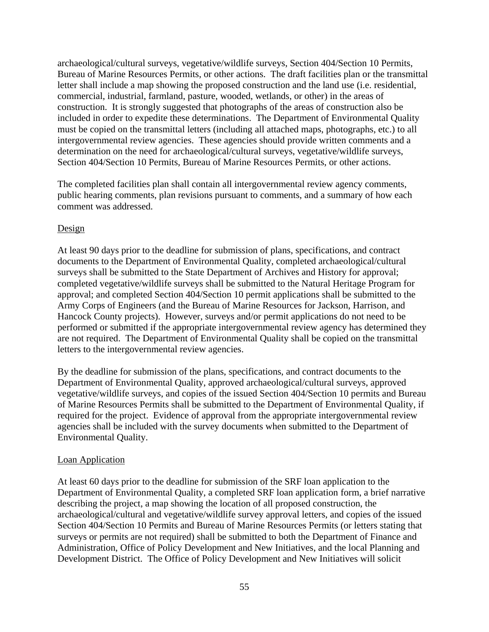archaeological/cultural surveys, vegetative/wildlife surveys, Section 404/Section 10 Permits, Bureau of Marine Resources Permits, or other actions. The draft facilities plan or the transmittal letter shall include a map showing the proposed construction and the land use (i.e. residential, commercial, industrial, farmland, pasture, wooded, wetlands, or other) in the areas of construction. It is strongly suggested that photographs of the areas of construction also be included in order to expedite these determinations. The Department of Environmental Quality must be copied on the transmittal letters (including all attached maps, photographs, etc.) to all intergovernmental review agencies. These agencies should provide written comments and a determination on the need for archaeological/cultural surveys, vegetative/wildlife surveys, Section 404/Section 10 Permits, Bureau of Marine Resources Permits, or other actions.

The completed facilities plan shall contain all intergovernmental review agency comments, public hearing comments, plan revisions pursuant to comments, and a summary of how each comment was addressed.

#### Design

At least 90 days prior to the deadline for submission of plans, specifications, and contract documents to the Department of Environmental Quality, completed archaeological/cultural surveys shall be submitted to the State Department of Archives and History for approval; completed vegetative/wildlife surveys shall be submitted to the Natural Heritage Program for approval; and completed Section 404/Section 10 permit applications shall be submitted to the Army Corps of Engineers (and the Bureau of Marine Resources for Jackson, Harrison, and Hancock County projects). However, surveys and/or permit applications do not need to be performed or submitted if the appropriate intergovernmental review agency has determined they are not required. The Department of Environmental Quality shall be copied on the transmittal letters to the intergovernmental review agencies.

By the deadline for submission of the plans, specifications, and contract documents to the Department of Environmental Quality, approved archaeological/cultural surveys, approved vegetative/wildlife surveys, and copies of the issued Section 404/Section 10 permits and Bureau of Marine Resources Permits shall be submitted to the Department of Environmental Quality, if required for the project. Evidence of approval from the appropriate intergovernmental review agencies shall be included with the survey documents when submitted to the Department of Environmental Quality.

#### Loan Application

At least 60 days prior to the deadline for submission of the SRF loan application to the Department of Environmental Quality, a completed SRF loan application form, a brief narrative describing the project, a map showing the location of all proposed construction, the archaeological/cultural and vegetative/wildlife survey approval letters, and copies of the issued Section 404/Section 10 Permits and Bureau of Marine Resources Permits (or letters stating that surveys or permits are not required) shall be submitted to both the Department of Finance and Administration, Office of Policy Development and New Initiatives, and the local Planning and Development District. The Office of Policy Development and New Initiatives will solicit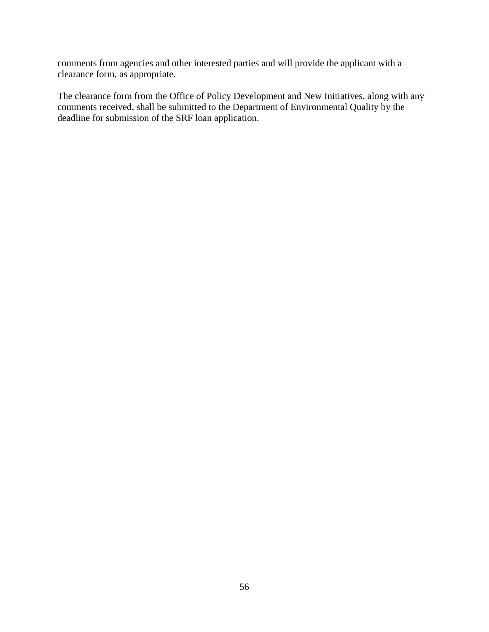comments from agencies and other interested parties and will provide the applicant with a clearance form, as appropriate.

The clearance form from the Office of Policy Development and New Initiatives, along with any comments received, shall be submitted to the Department of Environmental Quality by the deadline for submission of the SRF loan application.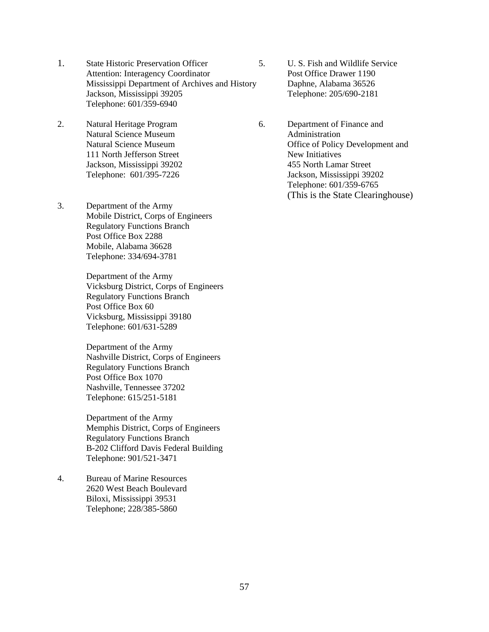- 1. State Historic Preservation Officer 5. U. S. Fish and Wildlife Service Attention: Interagency Coordinator Post Office Drawer 1190 Mississippi Department of Archives and History Daphne, Alabama 36526 Jackson, Mississippi 39205 Telephone: 205/690-2181 Telephone: 601/359-6940
- 2. Natural Heritage Program 6. Department of Finance and Natural Science Museum **Administration** 111 North Jefferson Street New Initiatives
- 3. Department of the Army Mobile District, Corps of Engineers Regulatory Functions Branch Post Office Box 2288 Mobile, Alabama 36628 Telephone: 334/694-3781

Department of the Army Vicksburg District, Corps of Engineers Regulatory Functions Branch Post Office Box 60 Vicksburg, Mississippi 39180 Telephone: 601/631-5289

Department of the Army Nashville District, Corps of Engineers Regulatory Functions Branch Post Office Box 1070 Nashville, Tennessee 37202 Telephone: 615/251-5181

Department of the Army Memphis District, Corps of Engineers Regulatory Functions Branch B-202 Clifford Davis Federal Building Telephone: 901/521-3471

4. Bureau of Marine Resources 2620 West Beach Boulevard Biloxi, Mississippi 39531 Telephone; 228/385-5860

Natural Science Museum **Office of Policy Development and** Jackson, Mississippi 39202 455 North Lamar Street Telephone: 601/395-7226 Jackson, Mississippi 39202 Telephone: 601/359-6765 (This is the State Clearinghouse)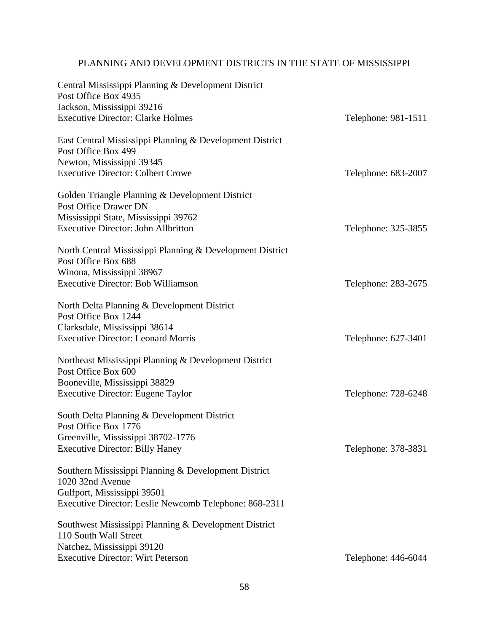# PLANNING AND DEVELOPMENT DISTRICTS IN THE STATE OF MISSISSIPPI

| Central Mississippi Planning & Development District<br>Post Office Box 4935      |                     |
|----------------------------------------------------------------------------------|---------------------|
| Jackson, Mississippi 39216                                                       |                     |
| <b>Executive Director: Clarke Holmes</b>                                         | Telephone: 981-1511 |
| East Central Mississippi Planning & Development District                         |                     |
| Post Office Box 499                                                              |                     |
| Newton, Mississippi 39345                                                        |                     |
| <b>Executive Director: Colbert Crowe</b>                                         | Telephone: 683-2007 |
| Golden Triangle Planning & Development District                                  |                     |
| Post Office Drawer DN                                                            |                     |
| Mississippi State, Mississippi 39762                                             |                     |
| <b>Executive Director: John Allbritton</b>                                       | Telephone: 325-3855 |
| North Central Mississippi Planning & Development District<br>Post Office Box 688 |                     |
| Winona, Mississippi 38967                                                        |                     |
| <b>Executive Director: Bob Williamson</b>                                        | Telephone: 283-2675 |
|                                                                                  |                     |
| North Delta Planning & Development District                                      |                     |
| Post Office Box 1244                                                             |                     |
| Clarksdale, Mississippi 38614                                                    |                     |
| <b>Executive Director: Leonard Morris</b>                                        | Telephone: 627-3401 |
| Northeast Mississippi Planning & Development District                            |                     |
| Post Office Box 600                                                              |                     |
| Booneville, Mississippi 38829                                                    |                     |
| <b>Executive Director: Eugene Taylor</b>                                         | Telephone: 728-6248 |
|                                                                                  |                     |
| South Delta Planning & Development District                                      |                     |
| Post Office Box 1776                                                             |                     |
| Greenville, Mississippi 38702-1776                                               |                     |
| <b>Executive Director: Billy Haney</b>                                           | Telephone: 378-3831 |
| Southern Mississippi Planning & Development District                             |                     |
| 1020 32nd Avenue                                                                 |                     |
| Gulfport, Mississippi 39501                                                      |                     |
| Executive Director: Leslie Newcomb Telephone: 868-2311                           |                     |
| Southwest Mississippi Planning & Development District                            |                     |
| 110 South Wall Street                                                            |                     |
| Natchez, Mississippi 39120                                                       |                     |
| <b>Executive Director: Wirt Peterson</b>                                         | Telephone: 446-6044 |
|                                                                                  |                     |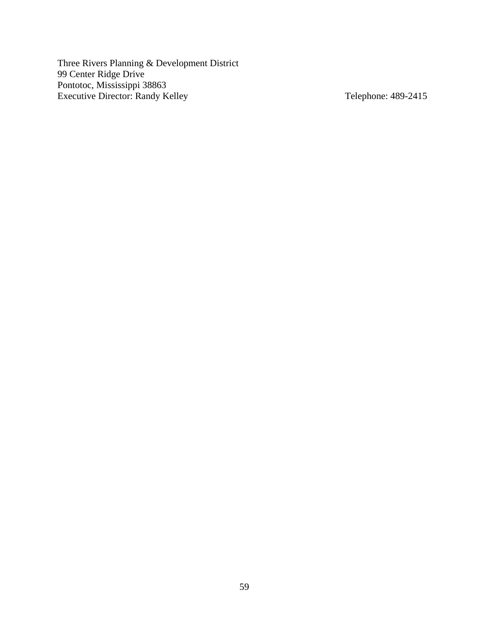Three Rivers Planning & Development District 99 Center Ridge Drive Pontotoc, Mississippi 38863 Executive Director: Randy Kelley Telephone: 489-2415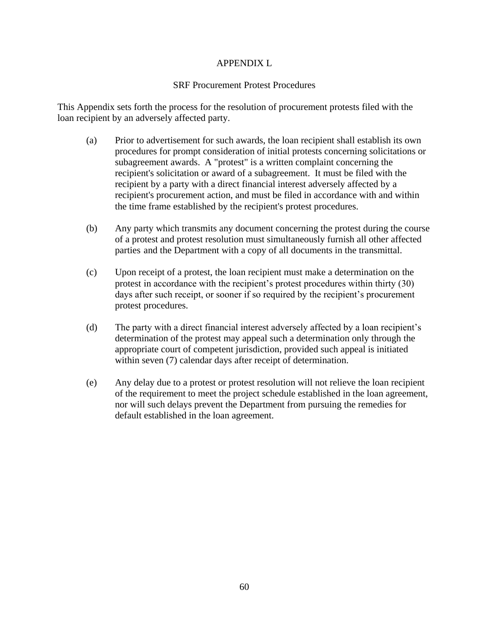## APPENDIX L

## SRF Procurement Protest Procedures

This Appendix sets forth the process for the resolution of procurement protests filed with the loan recipient by an adversely affected party.

- (a) Prior to advertisement for such awards, the loan recipient shall establish its own procedures for prompt consideration of initial protests concerning solicitations or subagreement awards. A "protest" is a written complaint concerning the recipient's solicitation or award of a subagreement. It must be filed with the recipient by a party with a direct financial interest adversely affected by a recipient's procurement action, and must be filed in accordance with and within the time frame established by the recipient's protest procedures.
- (b) Any party which transmits any document concerning the protest during the course of a protest and protest resolution must simultaneously furnish all other affected parties and the Department with a copy of all documents in the transmittal.
- (c) Upon receipt of a protest, the loan recipient must make a determination on the protest in accordance with the recipient's protest procedures within thirty (30) days after such receipt, or sooner if so required by the recipient's procurement protest procedures.
- (d) The party with a direct financial interest adversely affected by a loan recipient's determination of the protest may appeal such a determination only through the appropriate court of competent jurisdiction, provided such appeal is initiated within seven (7) calendar days after receipt of determination.
- (e) Any delay due to a protest or protest resolution will not relieve the loan recipient of the requirement to meet the project schedule established in the loan agreement, nor will such delays prevent the Department from pursuing the remedies for default established in the loan agreement.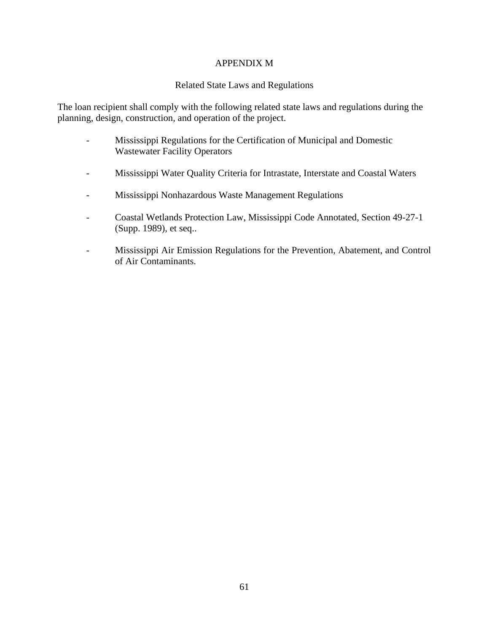### APPENDIX M

## Related State Laws and Regulations

The loan recipient shall comply with the following related state laws and regulations during the planning, design, construction, and operation of the project.

- Mississippi Regulations for the Certification of Municipal and Domestic Wastewater Facility Operators
- Mississippi Water Quality Criteria for Intrastate, Interstate and Coastal Waters
- Mississippi Nonhazardous Waste Management Regulations
- Coastal Wetlands Protection Law, Mississippi Code Annotated, Section 49-27-1 (Supp. 1989), et seq..
- Mississippi Air Emission Regulations for the Prevention, Abatement, and Control of Air Contaminants.